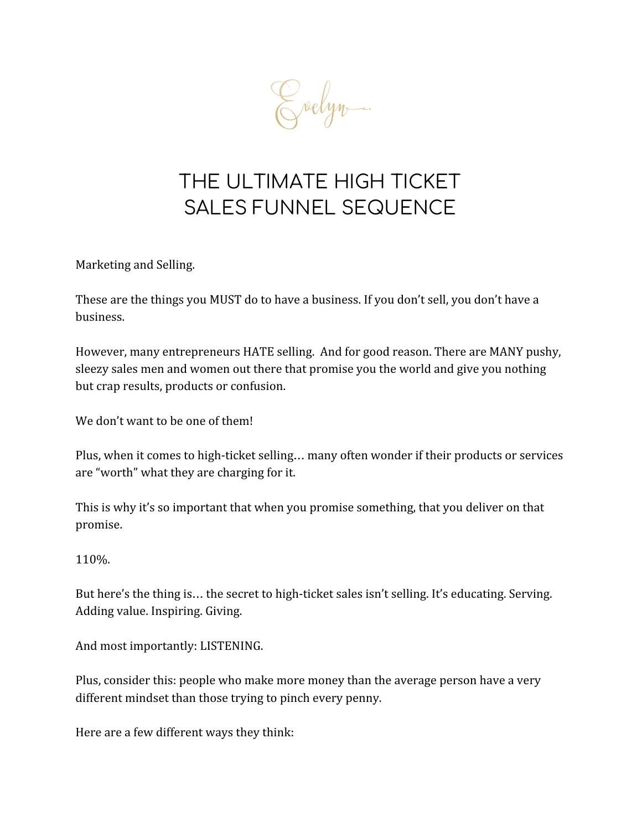

# THE ULTIMATE HIGH TICKET SALES FUNNEL SEQUENCE

Marketing and Selling.

These are the things you MUST do to have a business. If you don't sell, you don't have a business.

However, many entrepreneurs HATE selling. And for good reason. There are MANY pushy, sleezy sales men and women out there that promise you the world and give you nothing but crap results, products or confusion.

We don't want to be one of them!

Plus, when it comes to high-ticket selling… many often wonder if their products or services are "worth" what they are charging for it.

This is why it's so important that when you promise something, that you deliver on that promise.

110%.

But here's the thing is… the secret to high-ticket sales isn't selling. It's educating. Serving. Adding value. Inspiring. Giving.

And most importantly: LISTENING.

Plus, consider this: people who make more money than the average person have a very different mindset than those trying to pinch every penny.

Here are a few different ways they think: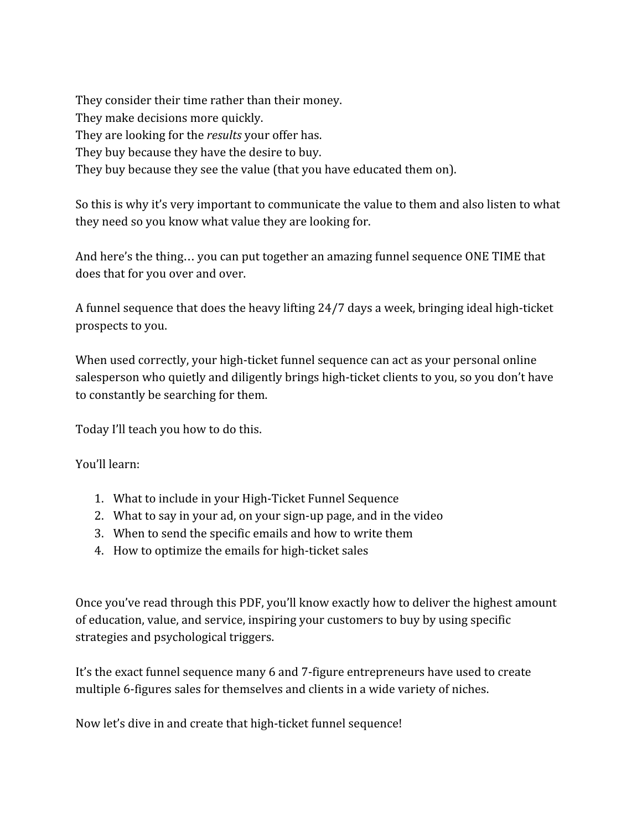They consider their time rather than their money. They make decisions more quickly. They are looking for the *results* your offer has. They buy because they have the desire to buy. They buy because they see the value (that you have educated them on).

So this is why it's very important to communicate the value to them and also listen to what they need so you know what value they are looking for.

And here's the thing… you can put together an amazing funnel sequence ONE TIME that does that for you over and over.

A funnel sequence that does the heavy lifting 24/7 days a week, bringing ideal high-ticket prospects to you.

When used correctly, your high-ticket funnel sequence can act as your personal online salesperson who quietly and diligently brings high-ticket clients to you, so you don't have to constantly be searching for them.

Today I'll teach you how to do this.

You'll learn:

- 1. What to include in your High-Ticket Funnel Sequence
- 2. What to say in your ad, on your sign-up page, and in the video
- 3. When to send the specific emails and how to write them
- 4. How to optimize the emails for high-ticket sales

Once you've read through this PDF, you'll know exactly how to deliver the highest amount of education, value, and service, inspiring your customers to buy by using specific strategies and psychological triggers.

It's the exact funnel sequence many 6 and 7-figure entrepreneurs have used to create multiple 6-figures sales for themselves and clients in a wide variety of niches.

Now let's dive in and create that high-ticket funnel sequence!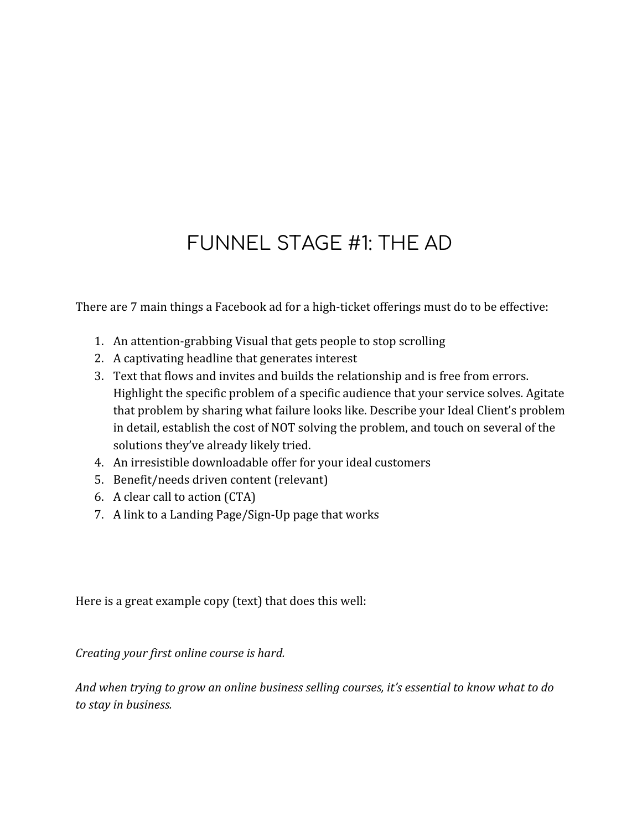## FUNNEL STAGE #1: THE AD

There are 7 main things a Facebook ad for a high-ticket offerings must do to be effective:

- 1. An attention-grabbing Visual that gets people to stop scrolling
- 2. A captivating headline that generates interest
- 3. Text that flows and invites and builds the relationship and is free from errors. Highlight the specific problem of a specific audience that your service solves. Agitate that problem by sharing what failure looks like. Describe your Ideal Client's problem in detail, establish the cost of NOT solving the problem, and touch on several of the solutions they've already likely tried.
- 4. An irresistible downloadable offer for your ideal customers
- 5. Benefit/needs driven content (relevant)
- 6. A clear call to action (CTA)
- 7. A link to a Landing Page/Sign-Up page that works

Here is a great example copy (text) that does this well:

*Creating your first online course is hard.*

*And when trying to grow an online business selling courses, it's essential to know what to do to stay in business.*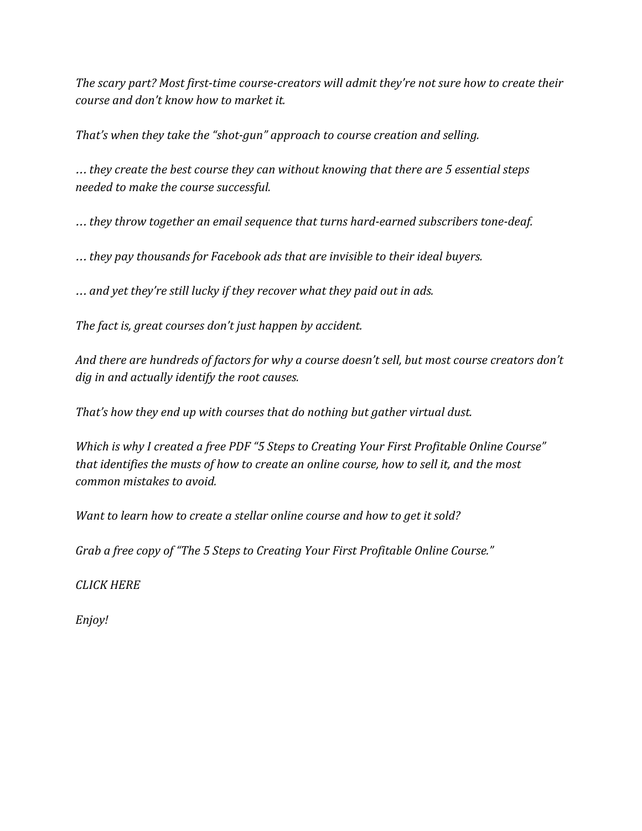*The scary part? Most first-time course-creators will admit they're not sure how to create their course and don't know how to market it.*

*That's when they take the "shot-gun" approach to course creation and selling.*

… *they create the best course they can without knowing that there are 5 essential steps needed to make the course successful.*

… *they throw together an email sequence that turns hard-earned subscribers tone-deaf.*

… *they pay thousands for Facebook ads that are invisible to their ideal buyers.*

… *and yet they're still lucky if they recover what they paid out in ads.*

*The fact is, great courses don't just happen by accident.*

*And there are hundreds of factors for why a course doesn't sell, but most course creators don't dig in and actually identify the root causes.*

*That's how they end up with courses that do nothing but gather virtual dust.*

*Which is why I created a free PDF "5 Steps to Creating Your First Profitable Online Course" that identifies the musts of how to create an online course, how to sell it, and the most common mistakes to avoid.*

*Want to learn how to create a stellar online course and how to get it sold?*

*Grab a free copy of "The 5 Steps to Creating Your First Profitable Online Course."*

*CLICK HERE*

*Enjoy!*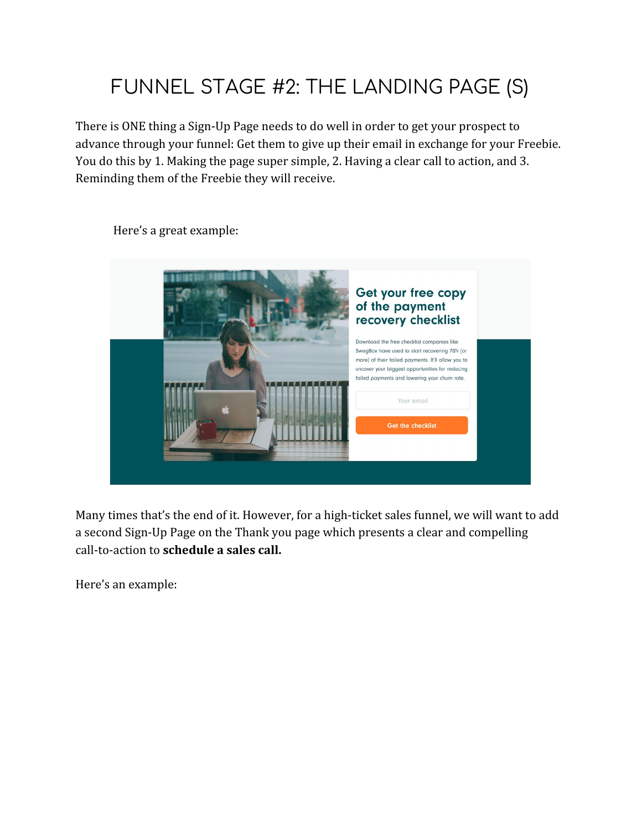# FUNNEL STAGE #2: THE LANDING PAGE (S)

There is ONE thing a Sign-Up Page needs to do well in order to get your prospect to advance through your funnel: Get them to give up their email in exchange for your Freebie. You do this by 1. Making the page super simple, 2. Having a clear call to action, and 3. Reminding them of the Freebie they will receive.

Get your free copy of the payment recovery checklist Download the free checklist companies like SwagBox have used to start recovering 70% (or more) of their failed payments. It'll allow you to uncover your biggest opportunities for reducing failed payments and lowering your churn rate. Your email Get the checklist

Here's a great example:

Many times that's the end of it. However, for a high-ticket sales funnel, we will want to add a second Sign-Up Page on the Thank you page which presents a clear and compelling call-to-action to **schedule a sales call.**

Here's an example: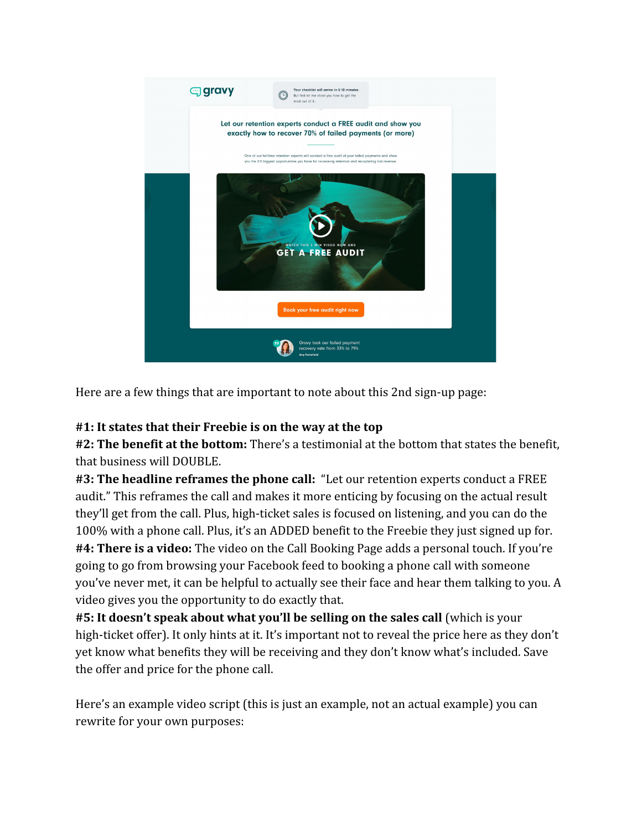

Here are a few things that are important to note about this 2nd sign-up page:

#### **#1: It states that their Freebie is on the way at the top**

**#2: The benefit at the bottom:** There's a testimonial at the bottom that states the benefit, that business will DOUBLE.

**#3: The headline reframes the phone call:** "Let our retention experts conduct a FREE audit." This reframes the call and makes it more enticing by focusing on the actual result they'll get from the call. Plus, high-ticket sales is focused on listening, and you can do the 100% with a phone call. Plus, it's an ADDED benefit to the Freebie they just signed up for. **#4: There is a video:** The video on the Call Booking Page adds a personal touch. If you're going to go from browsing your Facebook feed to booking a phone call with someone you've never met, it can be helpful to actually see their face and hear them talking to you. A video gives you the opportunity to do exactly that.

**#5: It doesn't speak about what you'll be selling on the sales call** (which is your high-ticket offer). It only hints at it. It's important not to reveal the price here as they don't yet know what benefits they will be receiving and they don't know what's included. Save the offer and price for the phone call.

Here's an example video script (this is just an example, not an actual example) you can rewrite for your own purposes: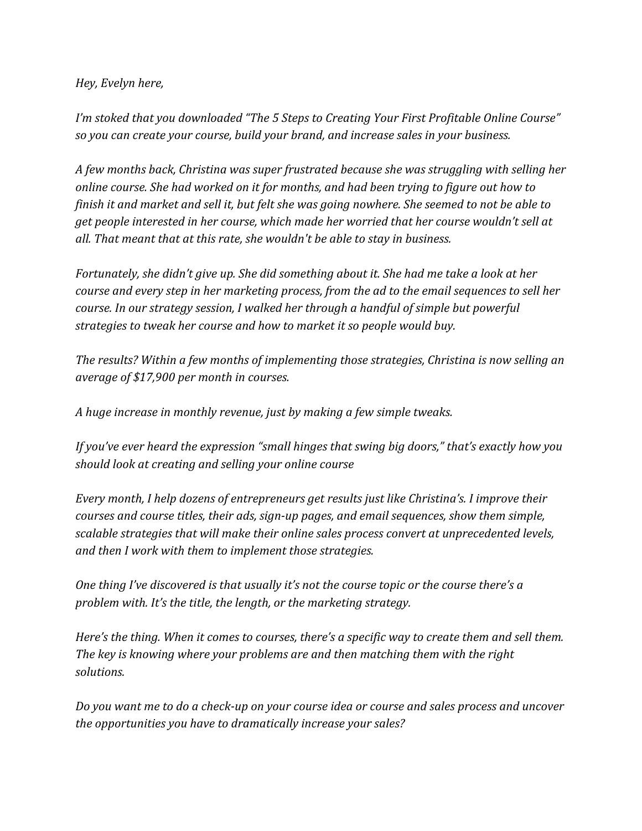*Hey, Evelyn here,*

*I'm stoked that you downloaded "The 5 Steps to Creating Your First Profitable Online Course" so you can create your course, build your brand, and increase sales in your business.*

*A few months back, Christina was super frustrated because she was struggling with selling her online course. She had worked on it for months, and had been trying to figure out how to finish it and market and sell it, but felt she was going nowhere. She seemed to not be able to get people interested in her course, which made her worried that her course wouldn't sell at all. That meant that at this rate, she wouldn't be able to stay in business.*

*Fortunately, she didn't give up. She did something about it. She had me take a look at her course and every step in her marketing process, from the ad to the email sequences to sell her course. In our strategy session, I walked her through a handful of simple but powerful strategies to tweak her course and how to market it so people would buy.*

*The results? Within a few months of implementing those strategies, Christina is now selling an average of \$17,900 per month in courses.*

*A huge increase in monthly revenue, just by making a few simple tweaks.*

*If you've ever heard the expression "small hinges that swing big doors," that's exactly how you should look at creating and selling your online course*

*Every month, I help dozens of entrepreneurs get results just like Christina's. I improve their courses and course titles, their ads, sign-up pages, and email sequences, show them simple, scalable strategies that will make their online sales process convert at unprecedented levels, and then I work with them to implement those strategies.*

*One thing I've discovered is that usually it's not the course topic or the course there's a problem with. It's the title, the length, or the marketing strategy.*

*Here's the thing. When it comes to courses, there's a specific way to create them and sell them. The key is knowing where your problems are and then matching them with the right solutions.*

*Do you want me to do a check-up on your course idea or course and sales process and uncover the opportunities you have to dramatically increase your sales?*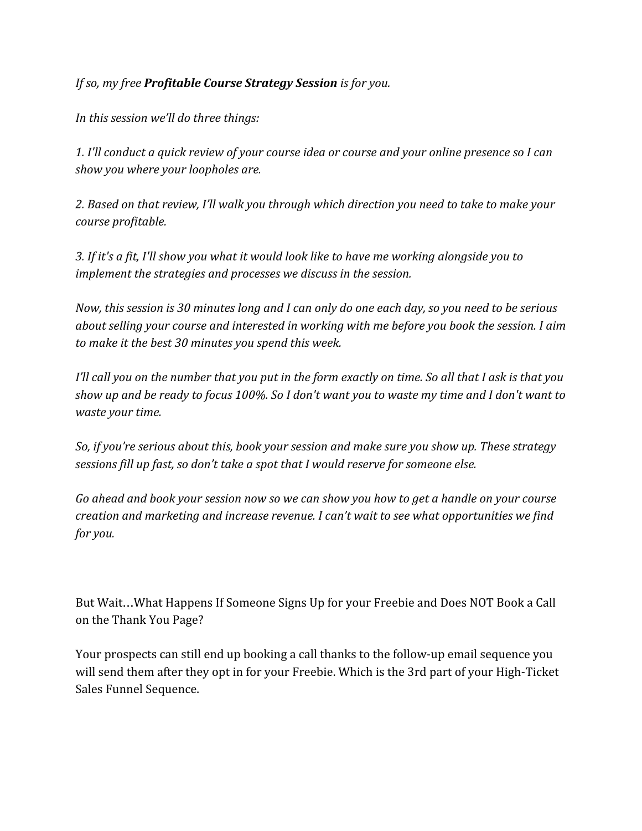*If so, my free Profitable Course Strategy Session is for you.*

*In this session we'll do three things:*

*1. I'll conduct a quick review of your course idea or course and your online presence so I can show you where your loopholes are.*

*2. Based on that review, I'll walk you through which direction you need to take to make your course profitable.*

*3. If it's a fit, I'll show you what it would look like to have me working alongside you to implement the strategies and processes we discuss in the session.*

*Now, this session is 30 minutes long and I can only do one each day, so you need to be serious about selling your course and interested in working with me before you book the session. I aim to make it the best 30 minutes you spend this week.*

*I'll call you on the number that you put in the form exactly on time. So all that I ask is that you show up and be ready to focus 100%. So I don't want you to waste my time and I don't want to waste your time.*

*So, if you're serious about this, book your session and make sure you show up. These strategy sessions fill up fast, so don't take a spot that I would reserve for someone else.*

*Go ahead and book your session now so we can show you how to get a handle on your course creation and marketing and increase revenue. I can't wait to see what opportunities we find for you.*

But Wait…What Happens If Someone Signs Up for your Freebie and Does NOT Book a Call on the Thank You Page?

Your prospects can still end up booking a call thanks to the follow-up email sequence you will send them after they opt in for your Freebie. Which is the 3rd part of your High-Ticket Sales Funnel Sequence.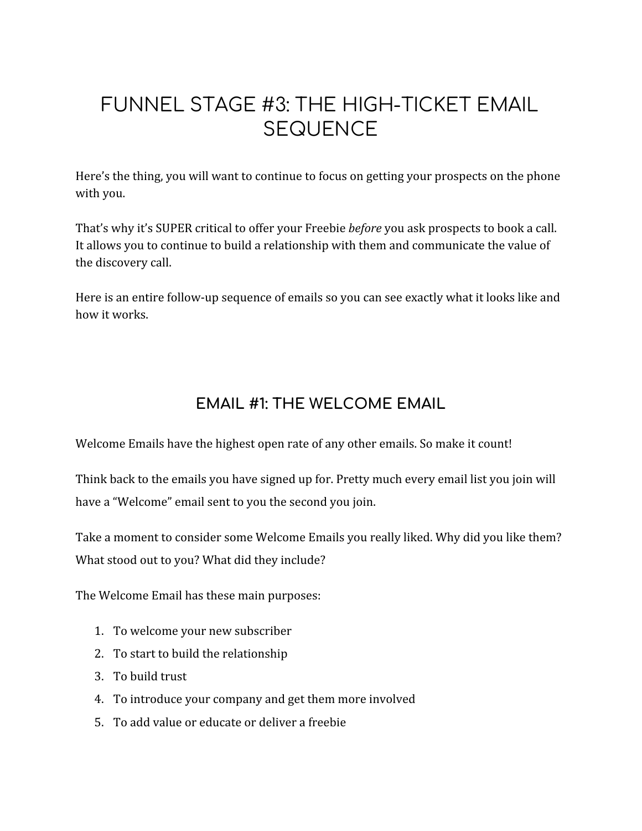## FUNNEL STAGE #3: THE HIGH-TICKET EMAIL **SEQUENCE**

Here's the thing, you will want to continue to focus on getting your prospects on the phone with you.

That's why it's SUPER critical to offer your Freebie *before* you ask prospects to book a call. It allows you to continue to build a relationship with them and communicate the value of the discovery call.

Here is an entire follow-up sequence of emails so you can see exactly what it looks like and how it works.

### **EMAIL #1: THE WELCOME EMAIL**

Welcome Emails have the highest open rate of any other emails. So make it count!

Think back to the emails you have signed up for. Pretty much every email list you join will have a "Welcome" email sent to you the second you join.

Take a moment to consider some Welcome Emails you really liked. Why did you like them? What stood out to you? What did they include?

The Welcome Email has these main purposes:

- 1. To welcome your new subscriber
- 2. To start to build the relationship
- 3. To build trust
- 4. To introduce your company and get them more involved
- 5. To add value or educate or deliver a freebie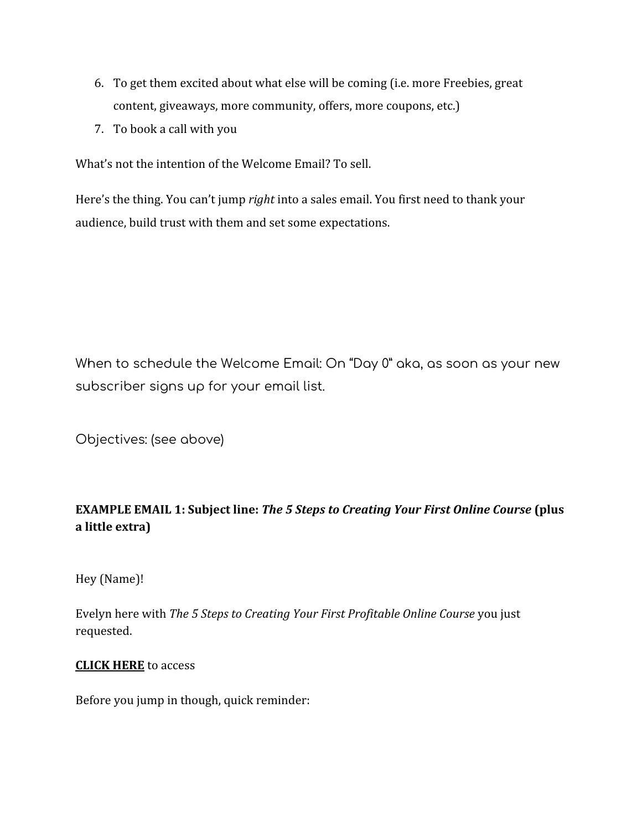- 6. To get them excited about what else will be coming (i.e. more Freebies, great content, giveaways, more community, offers, more coupons, etc.)
- 7. To book a call with you

What's not the intention of the Welcome Email? To sell.

Here's the thing. You can't jump *right* into a sales email. You first need to thank your audience, build trust with them and set some expectations.

When to schedule the Welcome Email: On "Day 0" aka, as soon as your new subscriber signs up for your email list.

Objectives: (see above)

#### **EXAMPLE EMAIL 1: Subject line:** *The 5 Steps to Creating Your First Online Course* **(plus a little extra)**

Hey (Name)!

Evelyn here with *The 5 Steps to Creating Your First Profitable Online Course* you just requested.

#### **CLICK HERE** to access

Before you jump in though, quick reminder: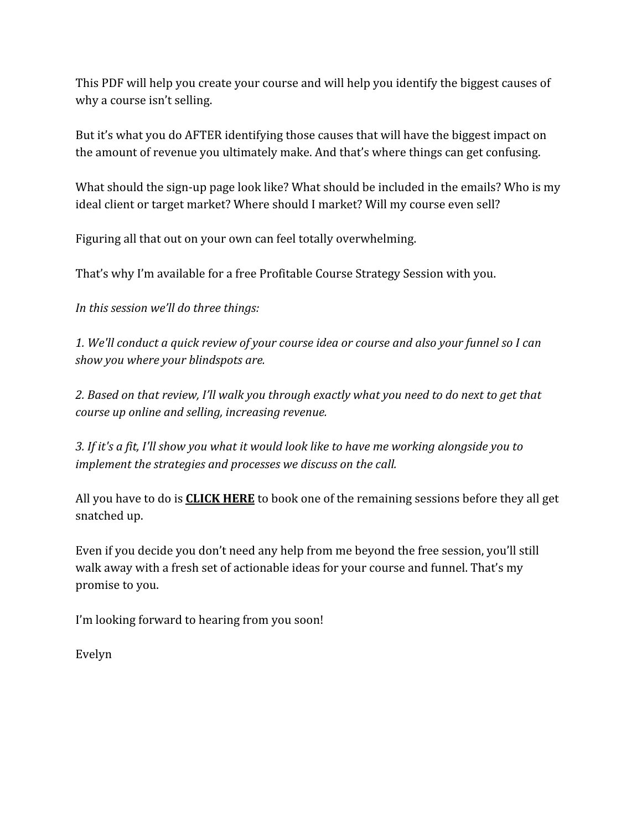This PDF will help you create your course and will help you identify the biggest causes of why a course isn't selling.

But it's what you do AFTER identifying those causes that will have the biggest impact on the amount of revenue you ultimately make. And that's where things can get confusing.

What should the sign-up page look like? What should be included in the emails? Who is my ideal client or target market? Where should I market? Will my course even sell?

Figuring all that out on your own can feel totally overwhelming.

That's why I'm available for a free Profitable Course Strategy Session with you.

*In this session we'll do three things:*

*1. We'll conduct a quick review of your course idea or course and also your funnel so I can show you where your blindspots are.*

*2. Based on that review, I'll walk you through exactly what you need to do next to get that course up online and selling, increasing revenue.*

*3. If it's a fit, I'll show you what it would look like to have me working alongside you to implement the strategies and processes we discuss on the call.*

All you have to do is **CLICK HERE** to book one of the remaining sessions before they all get snatched up.

Even if you decide you don't need any help from me beyond the free session, you'll still walk away with a fresh set of actionable ideas for your course and funnel. That's my promise to you.

I'm looking forward to hearing from you soon!

Evelyn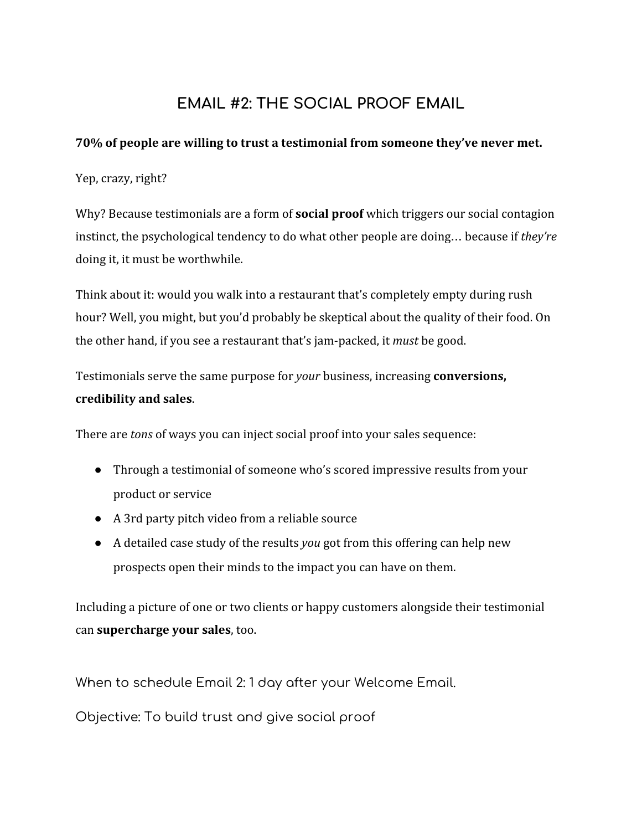### **EMAIL #2: THE SOCIAL PROOF EMAIL**

#### **70% of people are [willing](http://www.nielsen.com/us/en/insights/news/2012/trust-in-advertising--paid-owned-and-earned.html) to trust a testimonial from someone they've never met.**

Yep, crazy, right?

Why? Because testimonials are a form of **[social proof](https://sumo.com/stories/build-social-proof)** which triggers our social contagion instinct, the psychological tendency to do what other people are doing… because if *they're* doing it, it must be worthwhile.

Think about it: would you walk into a restaurant that's completely empty during rush hour? Well, you might, but you'd probably be skeptical about the quality of their food. On the other hand, if you see a restaurant that's jam-packed, it *must* be good.

Testimonials serve the same purpose for *your* business, increasing **[conversions,](https://sumo.com/stories/social-proof-types) [credibility and sales](https://sumo.com/stories/social-proof-types)**.

There are *tons* of ways you can inject social proof into your sales sequence:

- Through a testimonial of someone who's scored impressive results from your product or service
- A 3rd party pitch video from a reliable source
- A detailed case study of the results *you* got from this offering can help new prospects open their minds to the impact you can have on them.

Including a picture of one or two clients or happy customers alongside their testimonial can **[supercharge your sales](http://socialtriggers.com/how-images-affect-conversions/)**, too.

When to schedule Email 2: 1 day after your Welcome Email.

Objective: To build trust and give social proof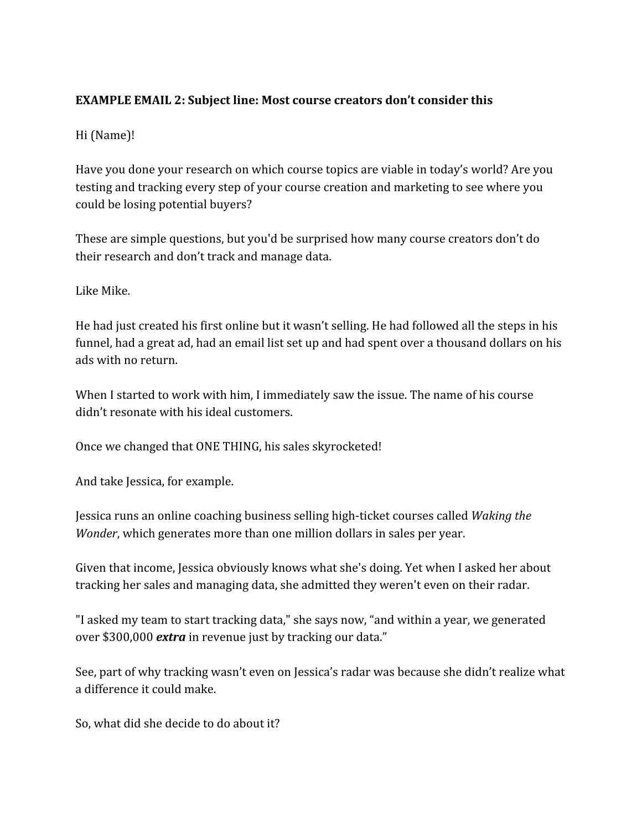#### **EXAMPLE EMAIL 2: Subject line: Most course creators don't consider this**

#### Hi (Name)!

Have you done your research on which course topics are viable in today's world? Are you testing and tracking every step of your course creation and marketing to see where you could be losing potential buyers?

These are simple questions, but you'd be surprised how many course creators don't do their research and don't track and manage data.

Like Mike.

He had just created his first online but it wasn't selling. He had followed all the steps in his funnel, had a great ad, had an email list set up and had spent over a thousand dollars on his ads with no return.

When I started to work with him, I immediately saw the issue. The name of his course didn't resonate with his ideal customers.

Once we changed that ONE THING, his sales skyrocketed!

And take Jessica, for example.

Jessica runs an online coaching business selling high-ticket courses called *Waking the Wonder*, which generates more than one million dollars in sales per year.

Given that income, Jessica obviously knows what she's doing. Yet when I asked her about tracking her sales and managing data, she admitted they weren't even on their radar.

"I asked my team to start tracking data," she says now, "and within a year, we generated over \$300,000 *extra* in revenue just by tracking our data."

See, part of why tracking wasn't even on Jessica's radar was because she didn't realize what a difference it could make.

So, what did she decide to do about it?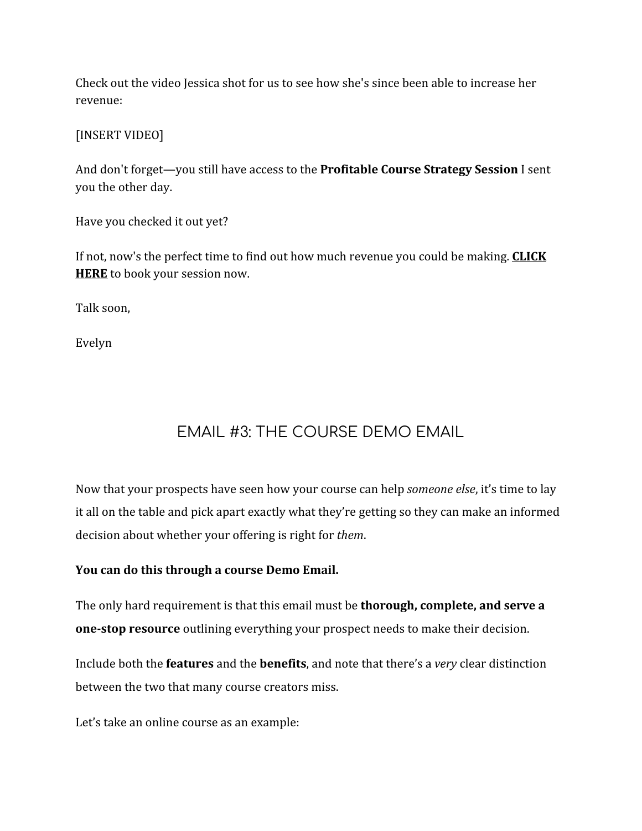Check out the video Jessica shot for us to see how she's since been able to increase her revenue:

[INSERT VIDEO]

And don't forget—you still have access to the **Profitable Course Strategy Session** I sent you the other day.

Have you checked it out yet?

If not, now's the perfect time to find out how much revenue you could be making. **CLICK HERE** to book your session now.

Talk soon,

Evelyn

## EMAIL #3: THE COURSE DEMO EMAIL

Now that your prospects have seen how your course can help *someone else*, it's time to lay it all on the table and pick apart exactly what they're getting so they can make an informed decision about whether your offering is right for *them*.

#### **You can do this through a course Demo Email.**

The only hard requirement is that this email must be **thorough, complete, and serve a one-stop resource** outlining everything your prospect needs to make their decision.

Include both the **features** and the **benefits**, and note that there's a *very* clear distinction between the two that many course creators miss.

Let's take an online course as an example: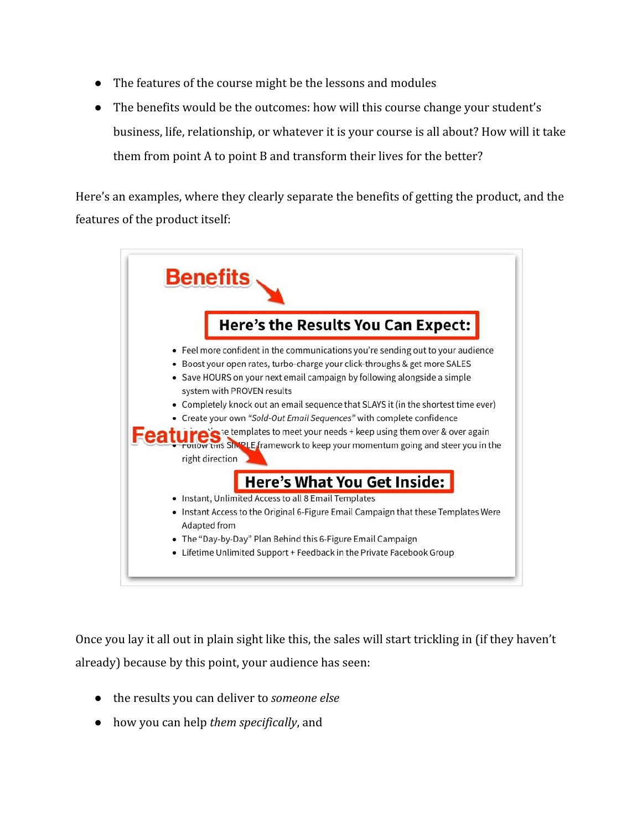- The features of the course might be the lessons and modules
- The benefits would be the outcomes: how will this course change your student's business, life, relationship, or whatever it is your course is all about? How will it take them from point A to point B and transform their lives for the better?

Here's an examples, where they clearly separate the benefits of getting the product, and the features of the product itself:

| <b>Benefits</b>                                                                                                                                                                                                                                                                                                                                                                                                                                                                                                                                                                                                      |
|----------------------------------------------------------------------------------------------------------------------------------------------------------------------------------------------------------------------------------------------------------------------------------------------------------------------------------------------------------------------------------------------------------------------------------------------------------------------------------------------------------------------------------------------------------------------------------------------------------------------|
| Here's the Results You Can Expect:                                                                                                                                                                                                                                                                                                                                                                                                                                                                                                                                                                                   |
| • Feel more confident in the communications you're sending out to your audience<br>Boost your open rates, turbo-charge your click-throughs & get more SALES<br>٠<br>• Save HOURS on your next email campaign by following alongside a simple<br>system with PROVEN results<br>Completely knock out an email sequence that SLAYS it (in the shortest time ever)<br>• Create your own "Sold-Out Email Sequences" with complete confidence<br>role is templates to meet your needs + keep using them over & over again<br>tow trus SIMPLE framework to keep your momentum going and steer you in the<br>right direction |
| Here's What You Get Inside:                                                                                                                                                                                                                                                                                                                                                                                                                                                                                                                                                                                          |
| Instant, Unlimited Access to all 8 Email Templates<br>٠                                                                                                                                                                                                                                                                                                                                                                                                                                                                                                                                                              |
| • Instant Access to the Original 6-Figure Email Campaign that these Templates Were<br>Adapted from                                                                                                                                                                                                                                                                                                                                                                                                                                                                                                                   |
| • The "Day-by-Day" Plan Behind this 6-Figure Email Campaign                                                                                                                                                                                                                                                                                                                                                                                                                                                                                                                                                          |
| Lifetime Unlimited Support + Feedback in the Private Facebook Group                                                                                                                                                                                                                                                                                                                                                                                                                                                                                                                                                  |

Once you lay it all out in plain sight like this, the sales will start trickling in (if they haven't already) because by this point, your audience has seen:

- the results you can deliver to *someone else*
- how you can help *them specifically*, and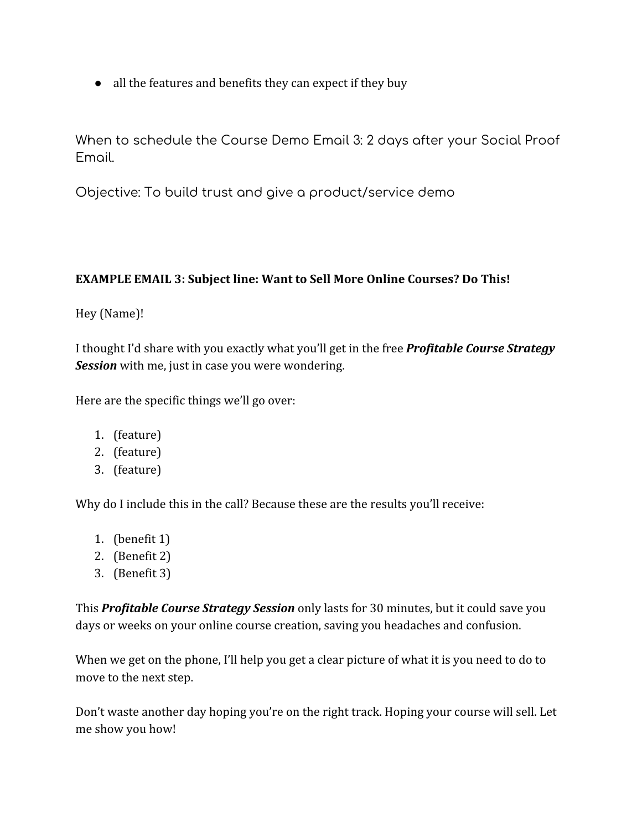• all the features and benefits they can expect if they buy

When to schedule the Course Demo Email 3: 2 days after your Social Proof Email.

Objective: To build trust and give a product/service demo

#### **EXAMPLE EMAIL 3: Subject line: Want to Sell More Online Courses? Do This!**

#### Hey (Name)!

I thought I'd share with you exactly what you'll get in the free *Profitable Course Strategy Session* with me, just in case you were wondering.

Here are the specific things we'll go over:

- 1. (feature)
- 2. (feature)
- 3. (feature)

Why do I include this in the call? Because these are the results you'll receive:

- 1. (benefit 1)
- 2. (Benefit 2)
- 3. (Benefit 3)

This *Profitable Course Strategy Session* only lasts for 30 minutes, but it could save you days or weeks on your online course creation, saving you headaches and confusion.

When we get on the phone, I'll help you get a clear picture of what it is you need to do to move to the next step.

Don't waste another day hoping you're on the right track. Hoping your course will sell. Let me show you how!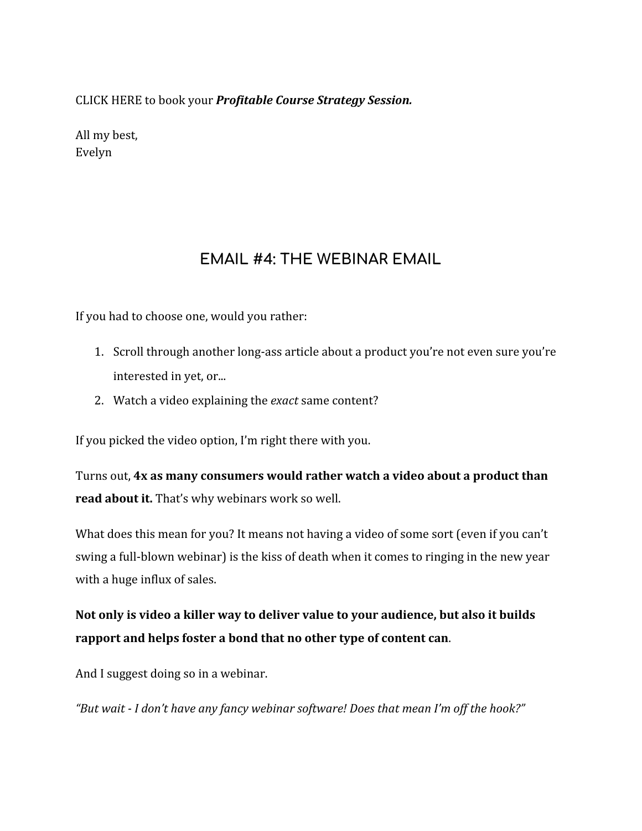CLICK HERE to book your *Profitable Course Strategy Session.*

All my best, Evelyn

### **EMAIL #4: THE WEBINAR EMAIL**

If you had to choose one, would you rather:

- 1. Scroll through another long-ass article about a product you're not even sure you're interested in yet, or...
- 2. Watch a video explaining the *exact* same content?

If you picked the video option, I'm right there with you.

Turns out, **[4x as many consumers](https://animoto.com/blog/business/online-video-2015-stats/) would rather watch a video about a product than read about it.** That's why webinars work so well.

What does this mean for you? It means not having a video of some sort (even if you can't swing a full-blown webinar) is the kiss of death when it comes to ringing in the new year with a huge influx of sales.

**Not only is video a killer way to deliver value to your audience, but also it builds rapport and helps foster a bond that no other type of content can**.

And I suggest doing so in a webinar.

*"But wait - I don't have any fancy webinar software! Does that mean I'm off the hook?"*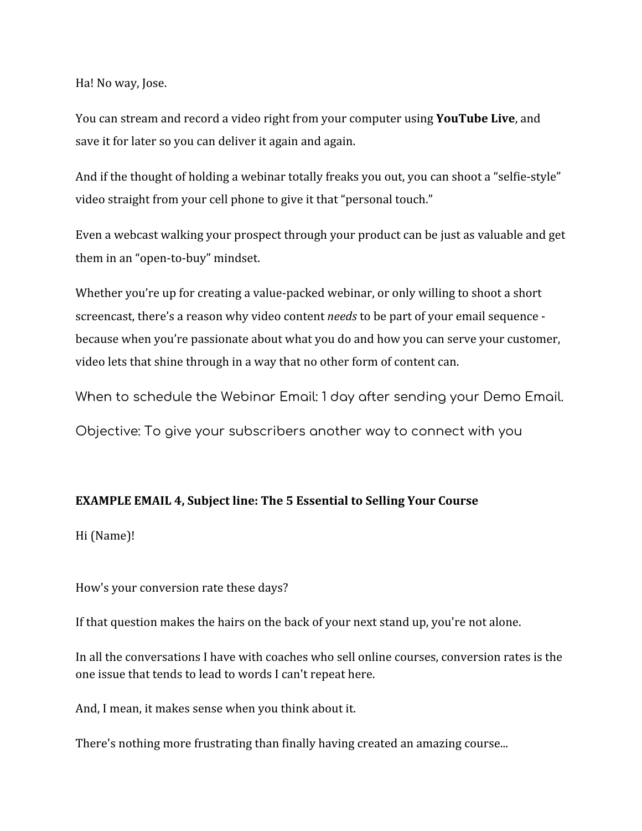Ha! No way, Jose.

You can stream and record a video right from your computer using **[YouTube Live](https://www.youtube.com/my_live_events)**, and save it for later so you can deliver it again and again.

And if the thought of holding a webinar totally freaks you out, you can shoot a "selfie-style" video straight from your cell phone to give it that "personal touch."

Even a webcast walking your prospect through your product can be just as valuable and get them in an "open-to-buy" mindset.

Whether you're up for creating a value-packed webinar, or only willing to shoot a short screencast, there's a reason why video content *needs* to be part of your email sequence because when you're passionate about what you do and how you can serve your customer, video lets that shine through in a way that no other form of content can.

When to schedule the Webinar Email: 1 day after sending your Demo Email.

Objective: To give your subscribers another way to connect with you

#### **EXAMPLE EMAIL 4, Subject line: The 5 Essential to Selling Your Course**

Hi (Name)!

How's your conversion rate these days?

If that question makes the hairs on the back of your next stand up, you're not alone.

In all the conversations I have with coaches who sell online courses, conversion rates is the one issue that tends to lead to words I can't repeat here.

And, I mean, it makes sense when you think about it.

There's nothing more frustrating than finally having created an amazing course...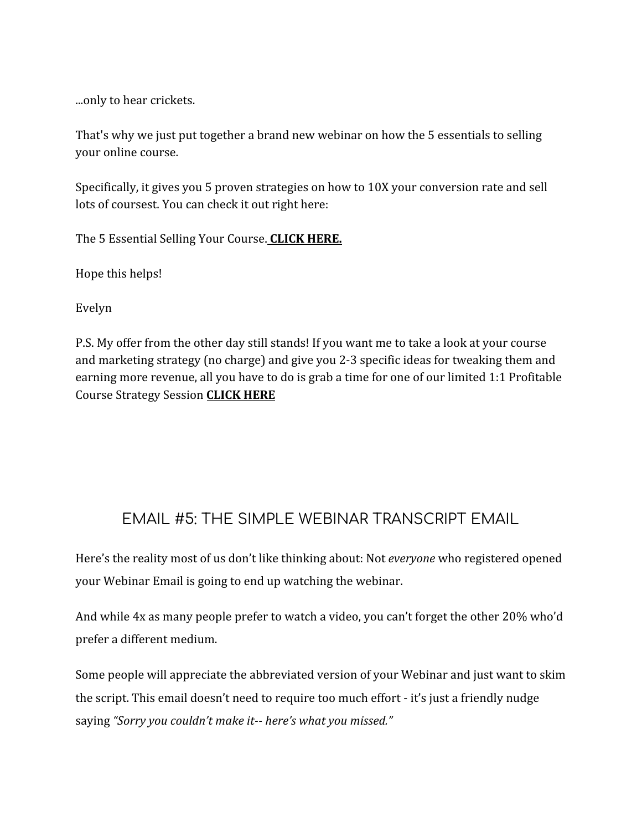...only to hear crickets.

That's why we just put together a brand new webinar on how the 5 essentials to selling your online course.

Specifically, it gives you 5 proven strategies on how to 10X your conversion rate and sell lots of coursest. You can check it out right here:

The 5 Essential Selling Your Course. **CLICK HERE.**

Hope this helps!

Evelyn

P.S. My offer from the other day still stands! If you want me to take a look at your course and marketing strategy (no charge) and give you 2-3 specific ideas for tweaking them and earning more revenue, all you have to do is grab a time for one of our limited 1:1 Profitable Course Strategy Session **CLICK HERE**

### EMAIL #5: THE SIMPLE WEBINAR TRANSCRIPT EMAIL

Here's the reality most of us don't like thinking about: Not *everyone* who registered opened your Webinar Email is going to end up watching the webinar.

And while 4x as many people prefer to watch a video, you can't forget the other 20% who'd prefer a different medium.

Some people will appreciate the abbreviated version of your Webinar and just want to skim the script. This email doesn't need to require too much effort - it's just a friendly nudge saying *"Sorry you couldn't make it-- here's what you missed."*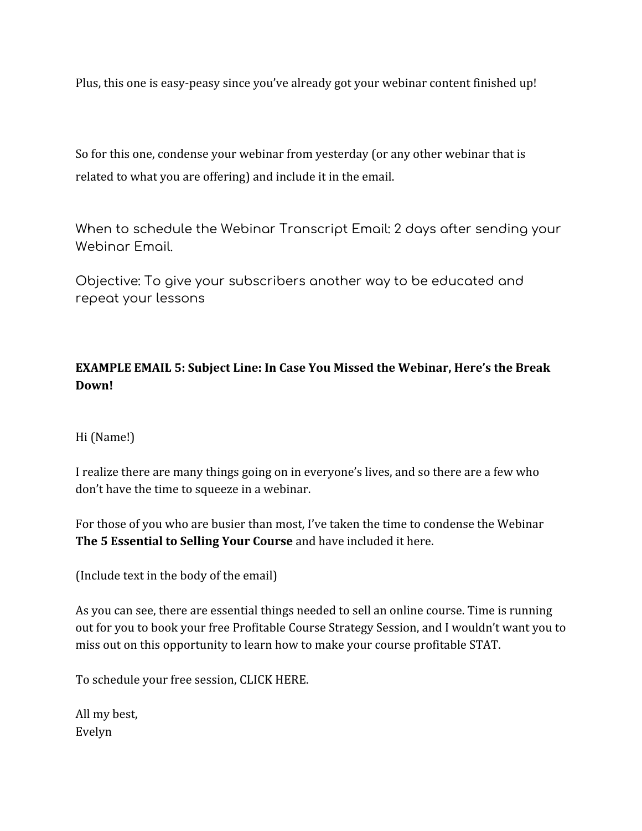Plus, this one is easy-peasy since you've already got your webinar content finished up!

So for this one, condense your webinar from yesterday (or any other webinar that is related to what you are offering) and include it in the email.

When to schedule the Webinar Transcript Email: 2 days after sending your Webinar Email.

Objective: To give your subscribers another way to be educated and repeat your lessons

#### **EXAMPLE EMAIL 5: Subject Line: In Case You Missed the Webinar, Here's the Break Down!**

#### Hi (Name!)

I realize there are many things going on in everyone's lives, and so there are a few who don't have the time to squeeze in a webinar.

For those of you who are busier than most, I've taken the time to condense the Webinar **The 5 Essential to Selling Your Course** and have included it here.

(Include text in the body of the email)

As you can see, there are essential things needed to sell an online course. Time is running out for you to book your free Profitable Course Strategy Session, and I wouldn't want you to miss out on this opportunity to learn how to make your course profitable STAT.

To schedule your free session, CLICK HERE.

All my best, Evelyn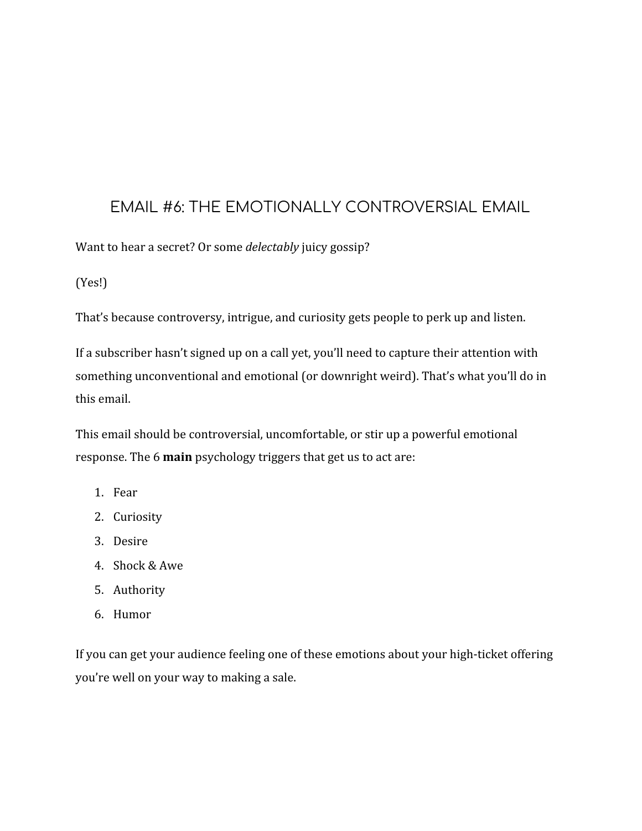### EMAIL #6: THE EMOTIONALLY CONTROVERSIAL EMAIL

Want to hear a secret? Or some *delectably* juicy gossip?

(Yes!)

That's because controversy, intrigue, and curiosity gets people to perk up and listen.

If a subscriber hasn't signed up on a call yet, you'll need to capture their attention with something unconventional and emotional (or downright weird). That's what you'll do in this email.

This email should be controversial, uncomfortable, or stir up a powerful emotional response. The 6 **[main](https://smartmarketer.com/)** psychology triggers that get us to act are:

- 1. Fear
- 2. Curiosity
- 3. Desire
- 4. Shock & Awe
- 5. Authority
- 6. Humor

If you can get your audience feeling one of these emotions about your high-ticket offering you're well on your way to making a sale.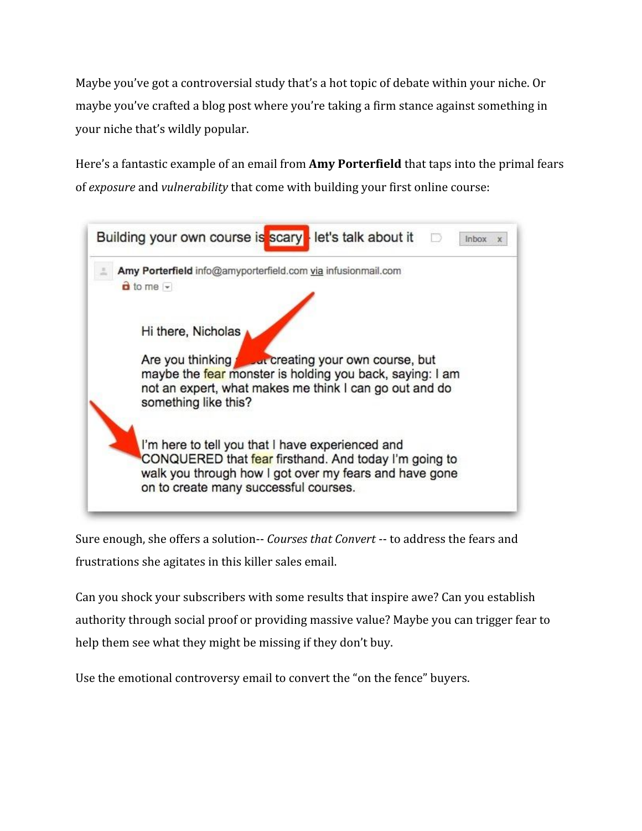Maybe you've got a controversial study that's a hot topic of debate within your niche. Or maybe you've crafted a blog post where you're taking a firm stance against something in your niche that's wildly popular.

Here's a fantastic example of an email from **[Amy Porterfield](http://www.amyporterfield.com/)** that taps into the primal fears of *exposure* and *vulnerability* that come with building your first online course:

| Amy Porterfield info@amyporterfield.com via infusionmail.com                                              |
|-----------------------------------------------------------------------------------------------------------|
| $\frac{a}{b}$ to me $\frac{a}{b}$                                                                         |
|                                                                                                           |
| Hi there, Nicholas                                                                                        |
| Are you thinking <b>the Juli creating your own course</b> , but                                           |
|                                                                                                           |
| maybe the fear monster is holding you back, saying: I am                                                  |
| not an expert, what makes me think I can go out and do                                                    |
| something like this?                                                                                      |
|                                                                                                           |
| I'm here to tell you that I have experienced and<br>CONQUERED that fear firsthand. And today I'm going to |
| walk you through how I got over my fears and have gone                                                    |

Sure enough, she offers a solution-- *Courses that Convert* -- to address the fears and frustrations she agitates in this killer sales email.

Can you shock your subscribers with some results that inspire awe? Can you establish authority through social proof or providing massive value? Maybe you can trigger fear to help them see what they might be missing if they don't buy.

Use the emotional controversy email to convert the "on the fence" buyers.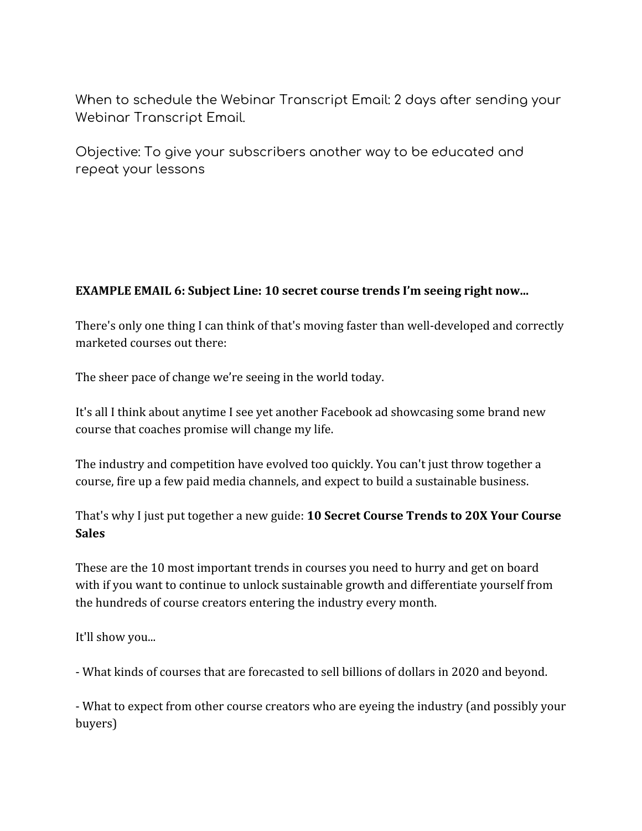When to schedule the Webinar Transcript Email: 2 days after sending your Webinar Transcript Email.

Objective: To give your subscribers another way to be educated and repeat your lessons

#### **EXAMPLE EMAIL 6: Subject Line: 10 secret course trends I'm seeing right now...**

There's only one thing I can think of that's moving faster than well-developed and correctly marketed courses out there:

The sheer pace of change we're seeing in the world today.

It's all I think about anytime I see yet another Facebook ad showcasing some brand new course that coaches promise will change my life.

The industry and competition have evolved too quickly. You can't just throw together a course, fire up a few paid media channels, and expect to build a sustainable business.

That's why I just put together a new guide: **10 Secret Course Trends to 20X Your Course Sales**

These are the 10 most important trends in courses you need to hurry and get on board with if you want to continue to unlock sustainable growth and differentiate yourself from the hundreds of course creators entering the industry every month.

It'll show you...

- What kinds of courses that are forecasted to sell billions of dollars in 2020 and beyond.

- What to expect from other course creators who are eyeing the industry (and possibly your buyers)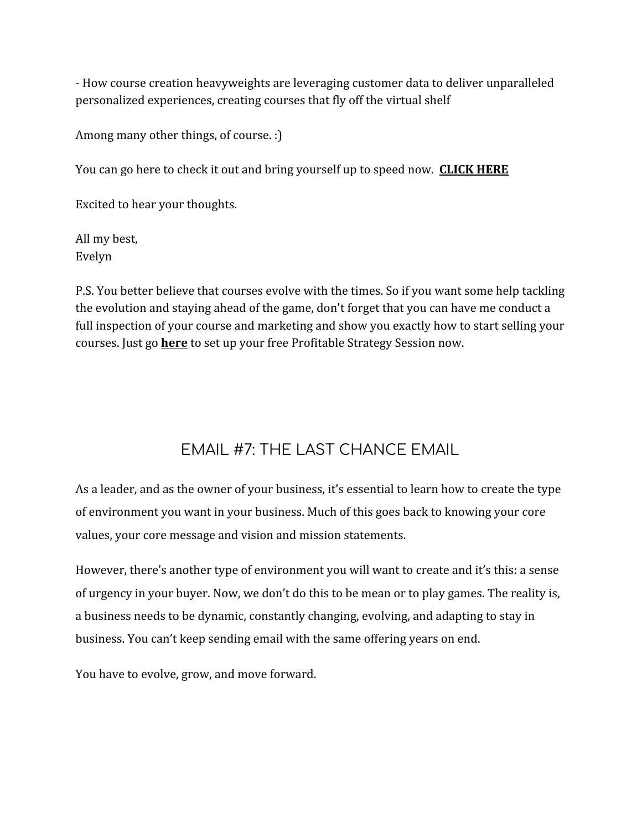- How course creation heavyweights are leveraging customer data to deliver unparalleled personalized experiences, creating courses that fly off the virtual shelf

Among many other things, of course. :)

You can go here to check it out and bring yourself up to speed now. **CLICK HERE**

Excited to hear your thoughts.

All my best, Evelyn

P.S. You better believe that courses evolve with the times. So if you want some help tackling the evolution and staying ahead of the game, don't forget that you can have me conduct a full inspection of your course and marketing and show you exactly how to start selling your courses. Just go **here** to set up your free Profitable Strategy Session now.

## EMAIL #7: THE LAST CHANCE EMAIL

As a leader, and as the owner of your business, it's essential to learn how to create the type of environment you want in your business. Much of this goes back to knowing your core values, your core message and vision and mission statements.

However, there's another type of environment you will want to create and it's this: a sense of urgency in your buyer. Now, we don't do this to be mean or to play games. The reality is, a business needs to be dynamic, constantly changing, evolving, and adapting to stay in business. You can't keep sending email with the same offering years on end.

You have to evolve, grow, and move forward.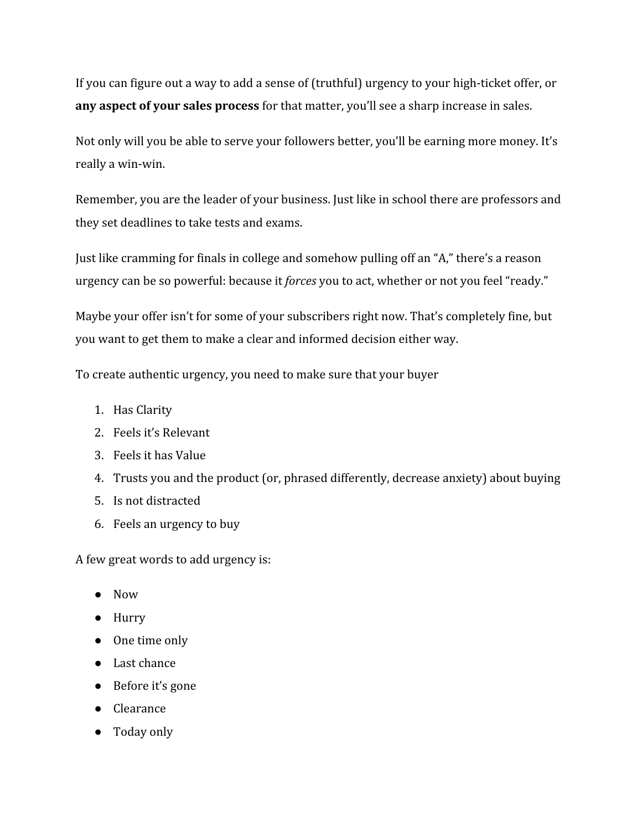If you can figure out a way to add a sense of (truthful) urgency to your high-ticket offer, or **[any aspect of your sales process](https://sumo.com/stories/scarcity-types)** for that matter, you'll see a sharp increase in sales.

Not only will you be able to serve your followers better, you'll be earning more money. It's really a win-win.

Remember, you are the leader of your business. Just like in school there are professors and they set deadlines to take tests and exams.

Just like cramming for finals in college and somehow pulling off an "A," there's a reason urgency can be so powerful: because it *forces* you to act, whether or not you feel "ready."

Maybe your offer isn't for some of your subscribers right now. That's completely fine, but you want to get them to make a clear and informed decision either way.

To create authentic urgency, you need to make sure that your buyer

- 1. Has Clarity
- 2. Feels it's Relevant
- 3. Feels it has Value
- 4. Trusts you and the product (or, phrased differently, decrease anxiety) about buying
- 5. Is not distracted
- 6. Feels an urgency to buy

A few great words to add urgency is:

- Now
- Hurry
- One time only
- Last chance
- Before it's gone
- Clearance
- Today only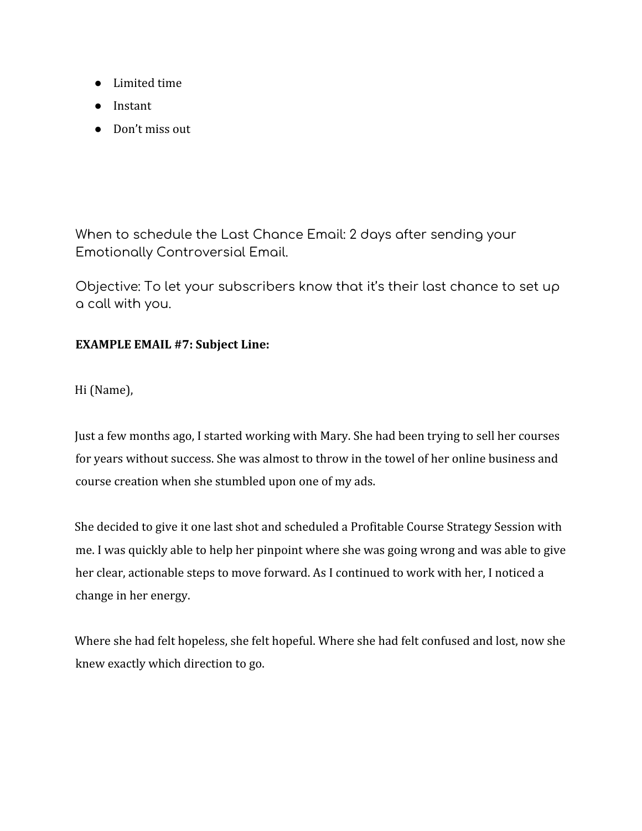- Limited time
- Instant
- Don't miss out

When to schedule the Last Chance Email: 2 days after sending your Emotionally Controversial Email.

Objective: To let your subscribers know that it's their last chance to set up a call with you.

#### **EXAMPLE EMAIL #7: Subject Line:**

Hi (Name),

Just a few months ago, I started working with Mary. She had been trying to sell her courses for years without success. She was almost to throw in the towel of her online business and course creation when she stumbled upon one of my ads.

She decided to give it one last shot and scheduled a Profitable Course Strategy Session with me. I was quickly able to help her pinpoint where she was going wrong and was able to give her clear, actionable steps to move forward. As I continued to work with her, I noticed a change in her energy.

Where she had felt hopeless, she felt hopeful. Where she had felt confused and lost, now she knew exactly which direction to go.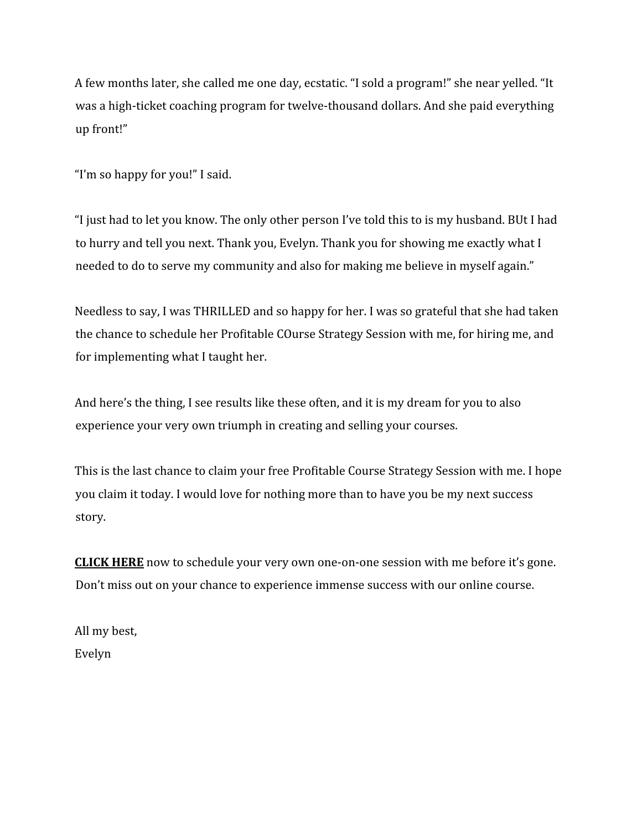A few months later, she called me one day, ecstatic. "I sold a program!" she near yelled. "It was a high-ticket coaching program for twelve-thousand dollars. And she paid everything up front!"

"I'm so happy for you!" I said.

"I just had to let you know. The only other person I've told this to is my husband. BUt I had to hurry and tell you next. Thank you, Evelyn. Thank you for showing me exactly what I needed to do to serve my community and also for making me believe in myself again."

Needless to say, I was THRILLED and so happy for her. I was so grateful that she had taken the chance to schedule her Profitable COurse Strategy Session with me, for hiring me, and for implementing what I taught her.

And here's the thing, I see results like these often, and it is my dream for you to also experience your very own triumph in creating and selling your courses.

This is the last chance to claim your free Profitable Course Strategy Session with me. I hope you claim it today. I would love for nothing more than to have you be my next success story.

**CLICK HERE** now to schedule your very own one-on-one session with me before it's gone. Don't miss out on your chance to experience immense success with our online course.

All my best, Evelyn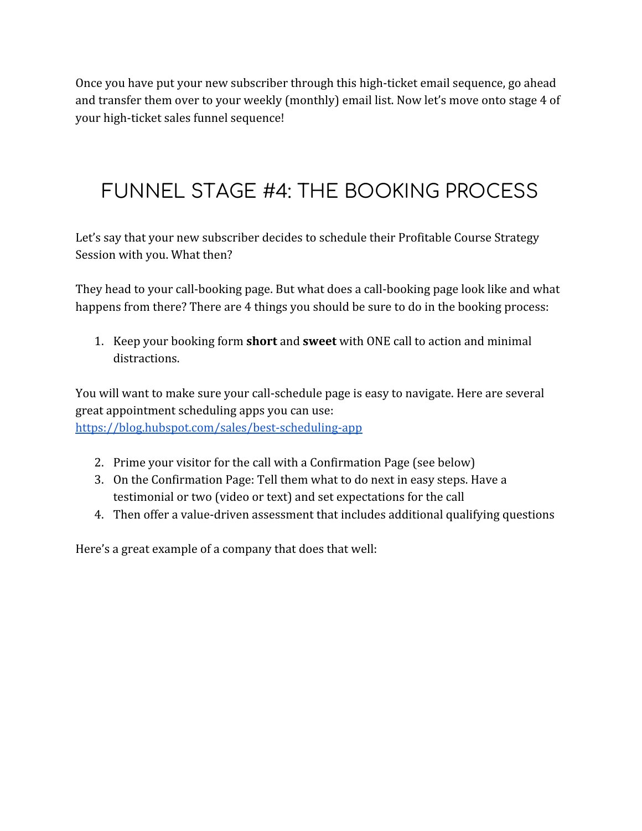Once you have put your new subscriber through this high-ticket email sequence, go ahead and transfer them over to your weekly (monthly) email list. Now let's move onto stage 4 of your high-ticket sales funnel sequence!

# FUNNEL STAGE #4: THE BOOKING PROCESS

Let's say that your new subscriber decides to schedule their Profitable Course Strategy Session with you. What then?

They head to your call-booking page. But what does a call-booking page look like and what happens from there? There are 4 things you should be sure to do in the booking process:

1. Keep your booking form **short** and **sweet** with ONE call to action and minimal distractions.

You will want to make sure your call-schedule page is easy to navigate. Here are several great appointment scheduling apps you can use: <https://blog.hubspot.com/sales/best-scheduling-app>

- 2. Prime your visitor for the call with a Confirmation Page (see below)
- 3. On the Confirmation Page: Tell them what to do next in easy steps. Have a testimonial or two (video or text) and set expectations for the call
- 4. Then offer a value-driven assessment that includes additional qualifying questions

Here's a great example of a company that does that well: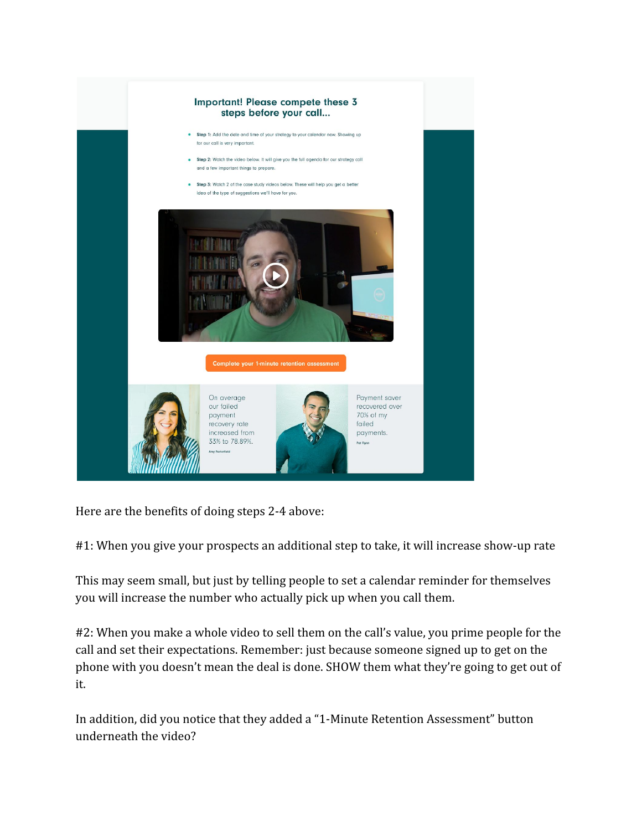

Here are the benefits of doing steps 2-4 above:

#1: When you give your prospects an additional step to take, it will increase show-up rate

This may seem small, but just by telling people to set a calendar reminder for themselves you will increase the number who actually pick up when you call them.

#2: When you make a whole video to sell them on the call's value, you prime people for the call and set their expectations. Remember: just because someone signed up to get on the phone with you doesn't mean the deal is done. SHOW them what they're going to get out of it.

In addition, did you notice that they added a "1-Minute Retention Assessment" button underneath the video?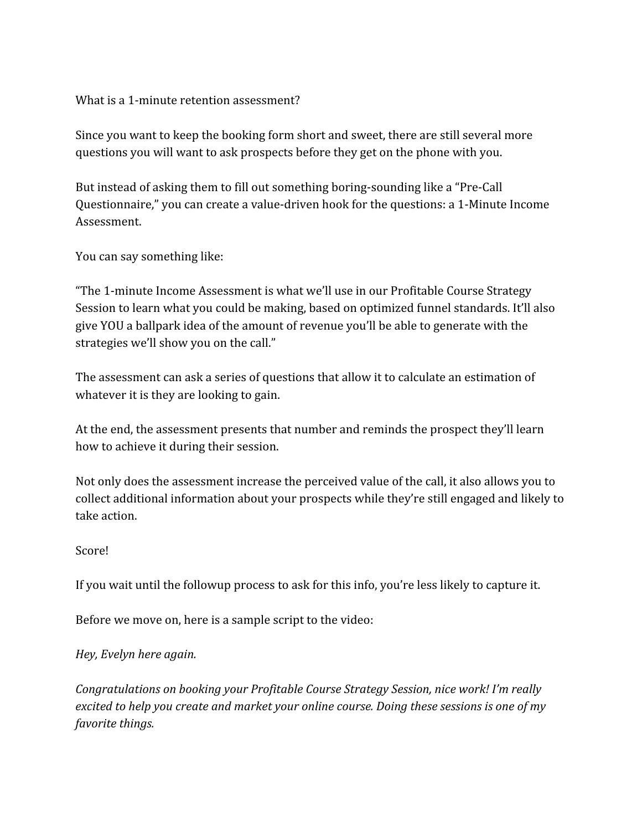#### What is a 1-minute retention assessment?

Since you want to keep the booking form short and sweet, there are still several more questions you will want to ask prospects before they get on the phone with you.

But instead of asking them to fill out something boring-sounding like a "Pre-Call Questionnaire," you can create a value-driven hook for the questions: a 1-Minute Income Assessment.

You can say something like:

"The 1-minute Income Assessment is what we'll use in our Profitable Course Strategy Session to learn what you could be making, based on optimized funnel standards. It'll also give YOU a ballpark idea of the amount of revenue you'll be able to generate with the strategies we'll show you on the call."

The assessment can ask a series of questions that allow it to calculate an estimation of whatever it is they are looking to gain.

At the end, the assessment presents that number and reminds the prospect they'll learn how to achieve it during their session.

Not only does the assessment increase the perceived value of the call, it also allows you to collect additional information about your prospects while they're still engaged and likely to take action.

#### Score!

If you wait until the followup process to ask for this info, you're less likely to capture it.

Before we move on, here is a sample script to the video:

*Hey, Evelyn here again.*

*Congratulations on booking your Profitable Course Strategy Session, nice work! I'm really excited to help you create and market your online course. Doing these sessions is one of my favorite things.*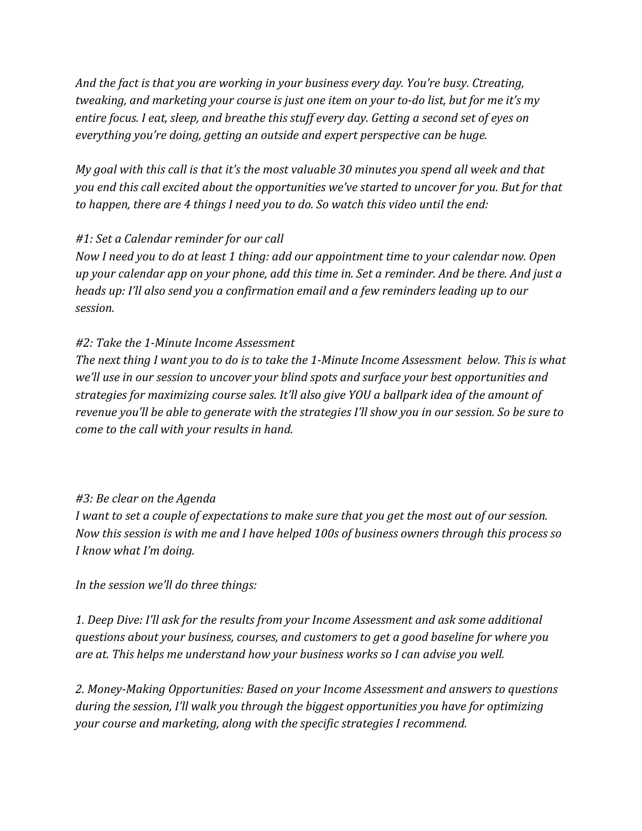*And the fact is that you are working in your business every day. You're busy. Ctreating, tweaking, and marketing your course is just one item on your to-do list, but for me it's my entire focus. I eat, sleep, and breathe this stuff every day. Getting a second set of eyes on everything you're doing, getting an outside and expert perspective can be huge.*

*My goal with this call is that it's the most valuable 30 minutes you spend all week and that you end this call excited about the opportunities we've started to uncover for you. But for that to happen, there are 4 things I need you to do. So watch this video until the end:*

#### *#1: Set a Calendar reminder for our call*

*Now I need you to do at least 1 thing: add our appointment time to your calendar now. Open up your calendar app on your phone, add this time in. Set a reminder. And be there. And just a heads up: I'll also send you a confirmation email and a few reminders leading up to our session.*

#### *#2: Take the 1-Minute Income Assessment*

*The next thing I want you to do is to take the 1-Minute Income Assessment below. This is what we'll use in our session to uncover your blind spots and surface your best opportunities and strategies for maximizing course sales. It'll also give YOU a ballpark idea of the amount of revenue you'll be able to generate with the strategies I'll show you in our session. So be sure to come to the call with your results in hand.*

#### *#3: Be clear on the Agenda*

*I want to set a couple of expectations to make sure that you get the most out of our session. Now this session is with me and I have helped 100s of business owners through this process so I know what I'm doing.*

*In the session we'll do three things:*

*1. Deep Dive: I'll ask for the results from your Income Assessment and ask some additional questions about your business, courses, and customers to get a good baseline for where you are at. This helps me understand how your business works so I can advise you well.*

*2. Money-Making Opportunities: Based on your Income Assessment and answers to questions during the session, I'll walk you through the biggest opportunities you have for optimizing your course and marketing, along with the specific strategies I recommend.*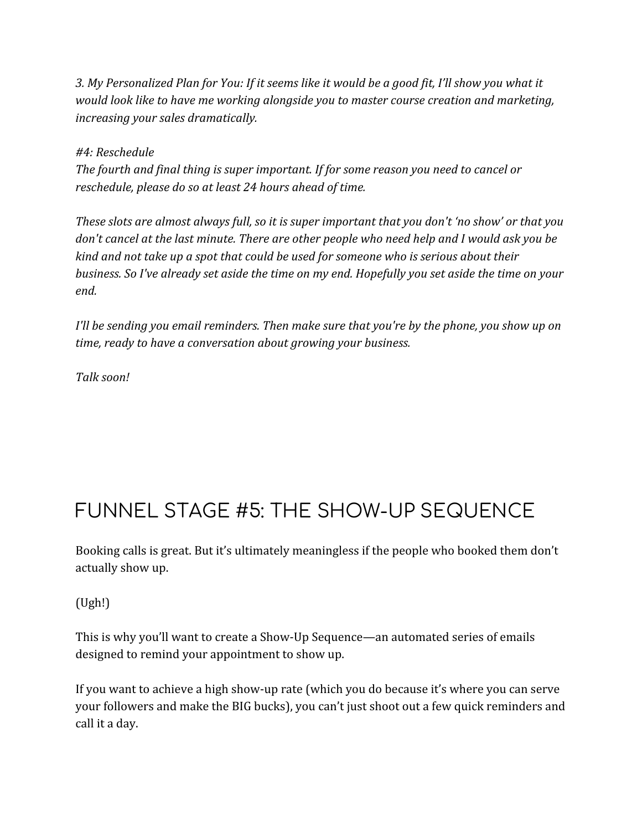*3. My Personalized Plan for You: If it seems like it would be a good fit, I'll show you what it would look like to have me working alongside you to master course creation and marketing, increasing your sales dramatically.*

*#4: Reschedule The fourth and final thing is super important. If for some reason you need to cancel or reschedule, please do so at least 24 hours ahead of time.*

*These slots are almost always full, so it is super important that you don't 'no show' or that you don't cancel at the last minute. There are other people who need help and I would ask you be kind and not take up a spot that could be used for someone who is serious about their business. So I've already set aside the time on my end. Hopefully you set aside the time on your end.*

*I'll be sending you email reminders. Then make sure that you're by the phone, you show up on time, ready to have a conversation about growing your business.*

*Talk soon!*

## FUNNEL STAGE #5: THE SHOW-UP SEQUENCE

Booking calls is great. But it's ultimately meaningless if the people who booked them don't actually show up.

(Ugh!)

This is why you'll want to create a Show-Up Sequence—an automated series of emails designed to remind your appointment to show up.

If you want to achieve a high show-up rate (which you do because it's where you can serve your followers and make the BIG bucks), you can't just shoot out a few quick reminders and call it a day.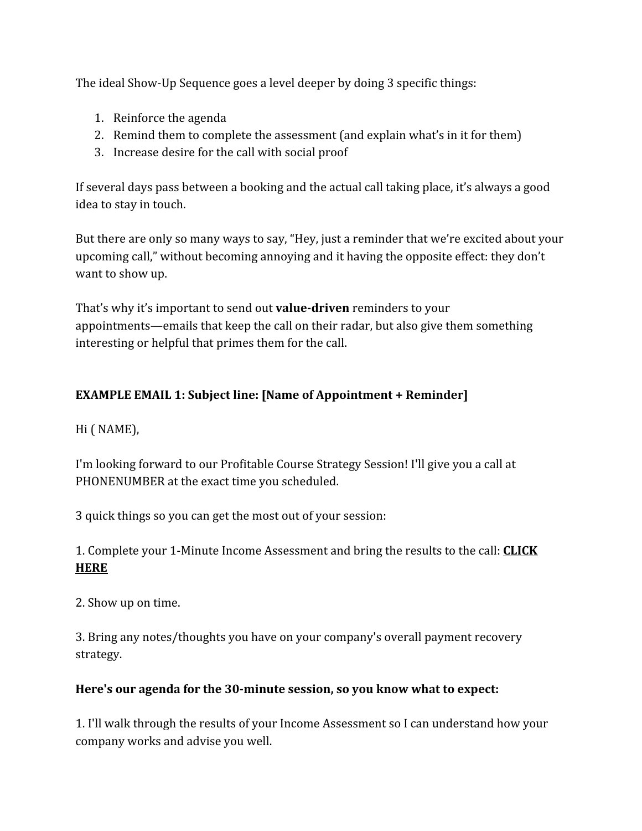The ideal Show-Up Sequence goes a level deeper by doing 3 specific things:

- 1. Reinforce the agenda
- 2. Remind them to complete the assessment (and explain what's in it for them)
- 3. Increase desire for the call with social proof

If several days pass between a booking and the actual call taking place, it's always a good idea to stay in touch.

But there are only so many ways to say, "Hey, just a reminder that we're excited about your upcoming call," without becoming annoying and it having the opposite effect: they don't want to show up.

That's why it's important to send out **value-driven** reminders to your appointments—emails that keep the call on their radar, but also give them something interesting or helpful that primes them for the call.

#### **EXAMPLE EMAIL 1: Subject line: [Name of Appointment + Reminder]**

Hi ( NAME),

I'm looking forward to our Profitable Course Strategy Session! I'll give you a call at PHONENUMBER at the exact time you scheduled.

3 quick things so you can get the most out of your session:

1. Complete your 1-Minute Income Assessment and bring the results to the call: **CLICK HERE**

2. Show up on time.

3. Bring any notes/thoughts you have on your company's overall payment recovery strategy.

#### **Here's our agenda for the 30-minute session, so you know what to expect:**

1. I'll walk through the results of your Income Assessment so I can understand how your company works and advise you well.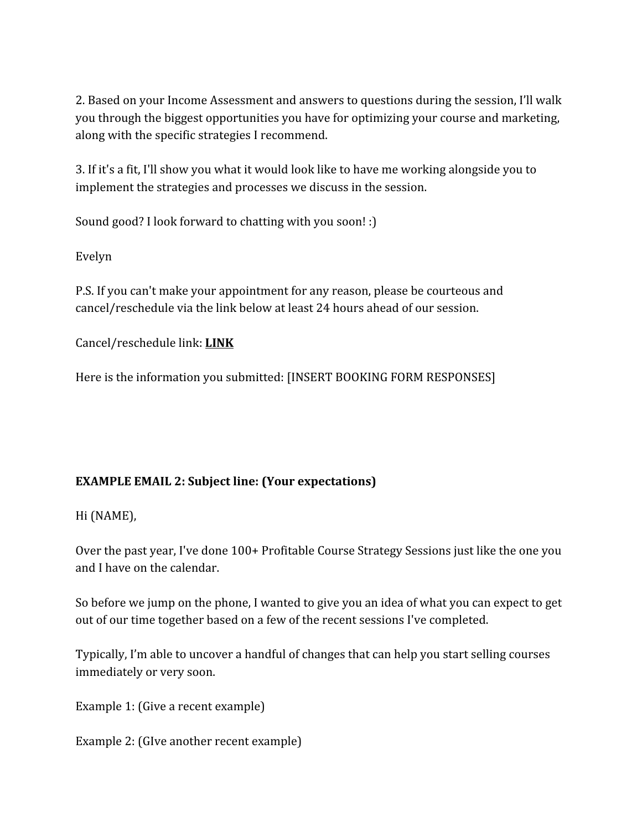2. Based on your Income Assessment and answers to questions during the session, I'll walk you through the biggest opportunities you have for optimizing your course and marketing, along with the specific strategies I recommend.

3. If it's a fit, I'll show you what it would look like to have me working alongside you to implement the strategies and processes we discuss in the session.

Sound good? I look forward to chatting with you soon! :)

Evelyn

P.S. If you can't make your appointment for any reason, please be courteous and cancel/reschedule via the link below at least 24 hours ahead of our session.

Cancel/reschedule link: **LINK**

Here is the information you submitted: [INSERT BOOKING FORM RESPONSES]

#### **EXAMPLE EMAIL 2: Subject line: (Your expectations)**

Hi (NAME),

Over the past year, I've done 100+ Profitable Course Strategy Sessions just like the one you and I have on the calendar.

So before we jump on the phone, I wanted to give you an idea of what you can expect to get out of our time together based on a few of the recent sessions I've completed.

Typically, I'm able to uncover a handful of changes that can help you start selling courses immediately or very soon.

Example 1: (Give a recent example)

Example 2: (GIve another recent example)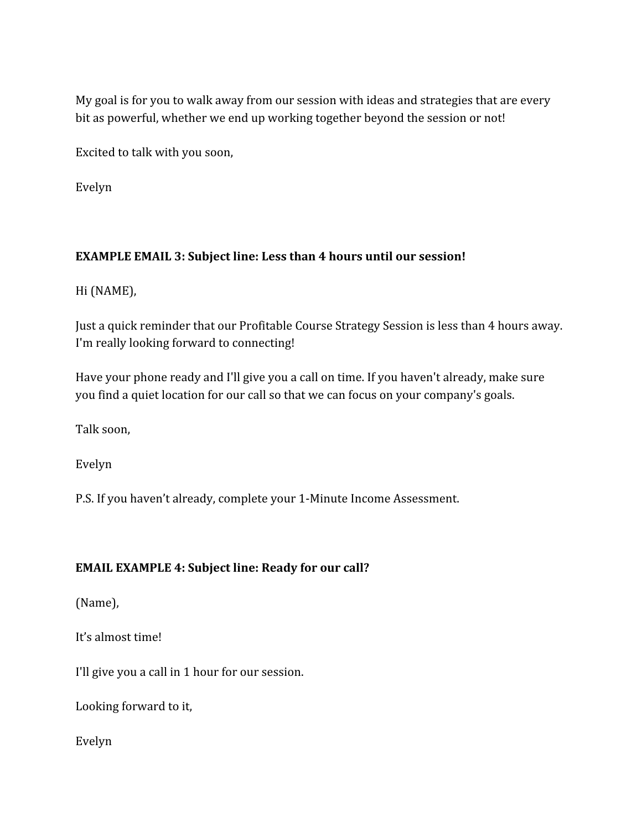My goal is for you to walk away from our session with ideas and strategies that are every bit as powerful, whether we end up working together beyond the session or not!

Excited to talk with you soon,

Evelyn

#### **EXAMPLE EMAIL 3: Subject line: Less than 4 hours until our session!**

Hi (NAME),

Just a quick reminder that our Profitable Course Strategy Session is less than 4 hours away. I'm really looking forward to connecting!

Have your phone ready and I'll give you a call on time. If you haven't already, make sure you find a quiet location for our call so that we can focus on your company's goals.

Talk soon,

Evelyn

P.S. If you haven't already, complete your 1-Minute Income Assessment.

#### **EMAIL EXAMPLE 4: Subject line: Ready for our call?**

(Name),

It's almost time!

I'll give you a call in 1 hour for our session.

Looking forward to it,

Evelyn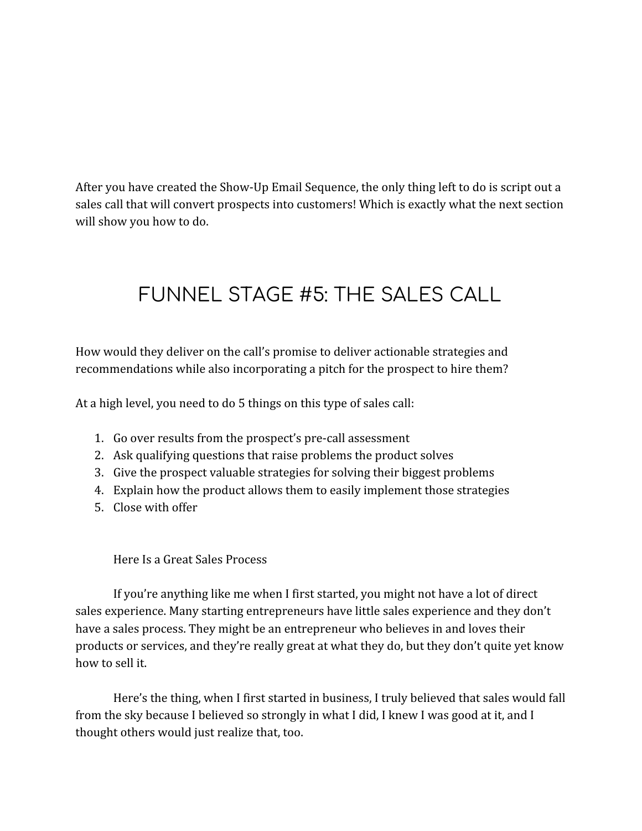After you have created the Show-Up Email Sequence, the only thing left to do is script out a sales call that will convert prospects into customers! Which is exactly what the next section will show you how to do.

# FUNNEL STAGE #5: THE SALES CALL

How would they deliver on the call's promise to deliver actionable strategies and recommendations while also incorporating a pitch for the prospect to hire them?

At a high level, you need to do 5 things on this type of sales call:

- 1. Go over results from the prospect's pre-call assessment
- 2. Ask qualifying questions that raise problems the product solves
- 3. Give the prospect valuable strategies for solving their biggest problems
- 4. Explain how the product allows them to easily implement those strategies
- 5. Close with offer

#### Here Is a Great Sales Process

If you're anything like me when I first started, you might not have a lot of direct sales experience. Many starting entrepreneurs have little sales experience and they don't have a sales process. They might be an entrepreneur who believes in and loves their products or services, and they're really great at what they do, but they don't quite yet know how to sell it.

Here's the thing, when I first started in business, I truly believed that sales would fall from the sky because I believed so strongly in what I did, I knew I was good at it, and I thought others would just realize that, too.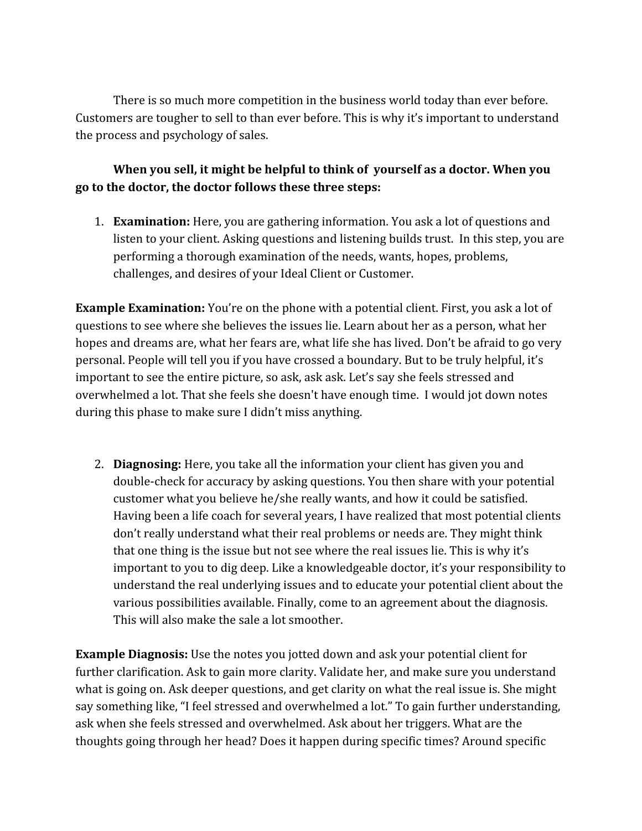There is so much more competition in the business world today than ever before. Customers are tougher to sell to than ever before. This is why it's important to understand the process and psychology of sales.

#### **When you sell, it might be helpful to think of yourself as a doctor. When you go to the doctor, the doctor follows these three steps:**

1. **Examination:** Here, you are gathering information. You ask a lot of questions and listen to your client. Asking questions and listening builds trust. In this step, you are performing a thorough examination of the needs, wants, hopes, problems, challenges, and desires of your Ideal Client or Customer.

**Example Examination:** You're on the phone with a potential client. First, you ask a lot of questions to see where she believes the issues lie. Learn about her as a person, what her hopes and dreams are, what her fears are, what life she has lived. Don't be afraid to go very personal. People will tell you if you have crossed a boundary. But to be truly helpful, it's important to see the entire picture, so ask, ask ask. Let's say she feels stressed and overwhelmed a lot. That she feels she doesn't have enough time. I would jot down notes during this phase to make sure I didn't miss anything.

2. **Diagnosing:** Here, you take all the information your client has given you and double-check for accuracy by asking questions. You then share with your potential customer what you believe he/she really wants, and how it could be satisfied. Having been a life coach for several years, I have realized that most potential clients don't really understand what their real problems or needs are. They might think that one thing is the issue but not see where the real issues lie. This is why it's important to you to dig deep. Like a knowledgeable doctor, it's your responsibility to understand the real underlying issues and to educate your potential client about the various possibilities available. Finally, come to an agreement about the diagnosis. This will also make the sale a lot smoother.

**Example Diagnosis:** Use the notes you jotted down and ask your potential client for further clarification. Ask to gain more clarity. Validate her, and make sure you understand what is going on. Ask deeper questions, and get clarity on what the real issue is. She might say something like, "I feel stressed and overwhelmed a lot." To gain further understanding, ask when she feels stressed and overwhelmed. Ask about her triggers. What are the thoughts going through her head? Does it happen during specific times? Around specific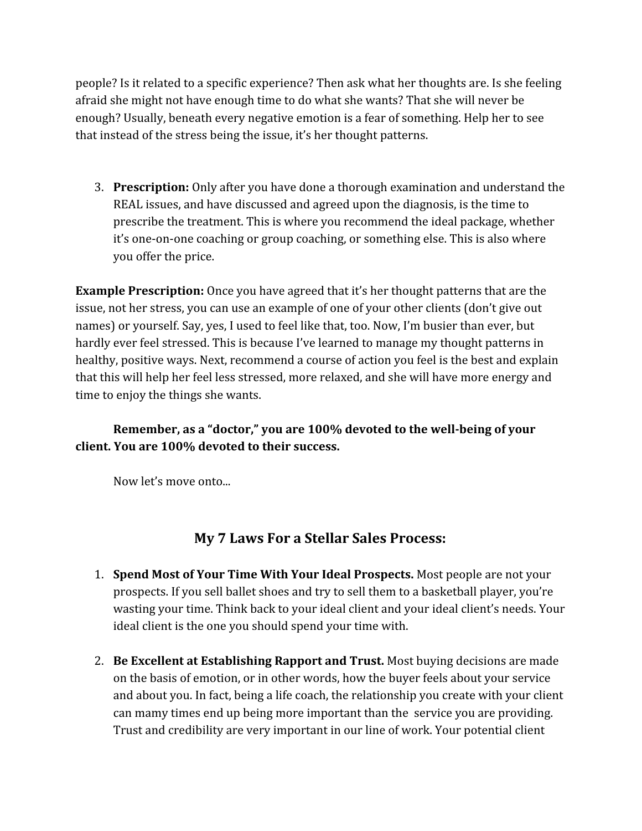people? Is it related to a specific experience? Then ask what her thoughts are. Is she feeling afraid she might not have enough time to do what she wants? That she will never be enough? Usually, beneath every negative emotion is a fear of something. Help her to see that instead of the stress being the issue, it's her thought patterns.

3. **Prescription:** Only after you have done a thorough examination and understand the REAL issues, and have discussed and agreed upon the diagnosis, is the time to prescribe the treatment. This is where you recommend the ideal package, whether it's one-on-one coaching or group coaching, or something else. This is also where you offer the price.

**Example Prescription:** Once you have agreed that it's her thought patterns that are the issue, not her stress, you can use an example of one of your other clients (don't give out names) or yourself. Say, yes, I used to feel like that, too. Now, I'm busier than ever, but hardly ever feel stressed. This is because I've learned to manage my thought patterns in healthy, positive ways. Next, recommend a course of action you feel is the best and explain that this will help her feel less stressed, more relaxed, and she will have more energy and time to enjoy the things she wants.

#### **Remember, as a "doctor," you are 100% devoted to the well-being of your client. You are 100% devoted to their success.**

Now let's move onto...

### **My 7 Laws For a Stellar Sales Process:**

- 1. **Spend Most of Your Time With Your Ideal Prospects.** Most people are not your prospects. If you sell ballet shoes and try to sell them to a basketball player, you're wasting your time. Think back to your ideal client and your ideal client's needs. Your ideal client is the one you should spend your time with.
- 2. **Be Excellent at Establishing Rapport and Trust.** Most buying decisions are made on the basis of emotion, or in other words, how the buyer feels about your service and about you. In fact, being a life coach, the relationship you create with your client can mamy times end up being more important than the service you are providing. Trust and credibility are very important in our line of work. Your potential client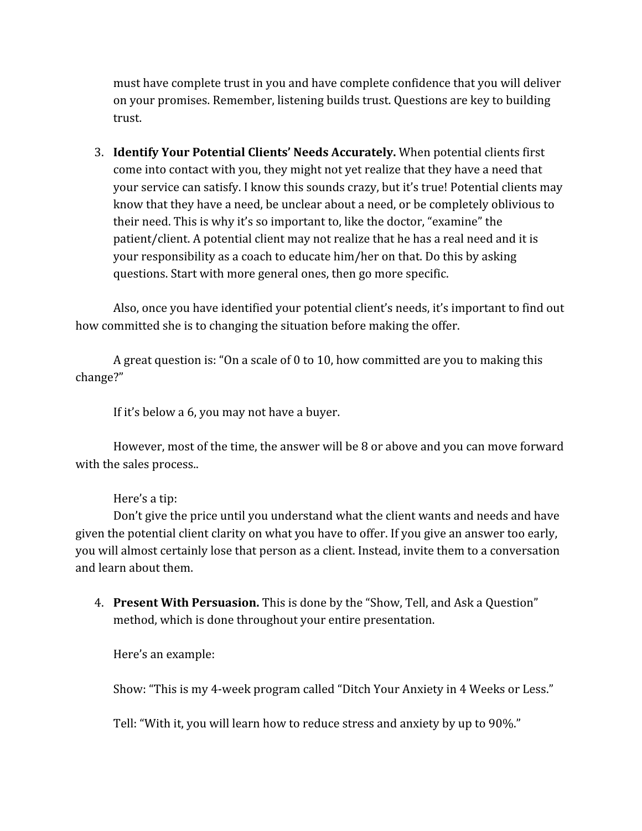must have complete trust in you and have complete confidence that you will deliver on your promises. Remember, listening builds trust. Questions are key to building trust.

3. **Identify Your Potential Clients' Needs Accurately.** When potential clients first come into contact with you, they might not yet realize that they have a need that your service can satisfy. I know this sounds crazy, but it's true! Potential clients may know that they have a need, be unclear about a need, or be completely oblivious to their need. This is why it's so important to, like the doctor, "examine" the patient/client. A potential client may not realize that he has a real need and it is your responsibility as a coach to educate him/her on that. Do this by asking questions. Start with more general ones, then go more specific.

Also, once you have identified your potential client's needs, it's important to find out how committed she is to changing the situation before making the offer.

A great question is: "On a scale of 0 to 10, how committed are you to making this change?"

If it's below a 6, you may not have a buyer.

However, most of the time, the answer will be 8 or above and you can move forward with the sales process..

Here's a tip:

Don't give the price until you understand what the client wants and needs and have given the potential client clarity on what you have to offer. If you give an answer too early, you will almost certainly lose that person as a client. Instead, invite them to a conversation and learn about them.

4. **Present With Persuasion.** This is done by the "Show, Tell, and Ask a Question" method, which is done throughout your entire presentation.

Here's an example:

Show: "This is my 4-week program called "Ditch Your Anxiety in 4 Weeks or Less."

Tell: "With it, you will learn how to reduce stress and anxiety by up to 90%."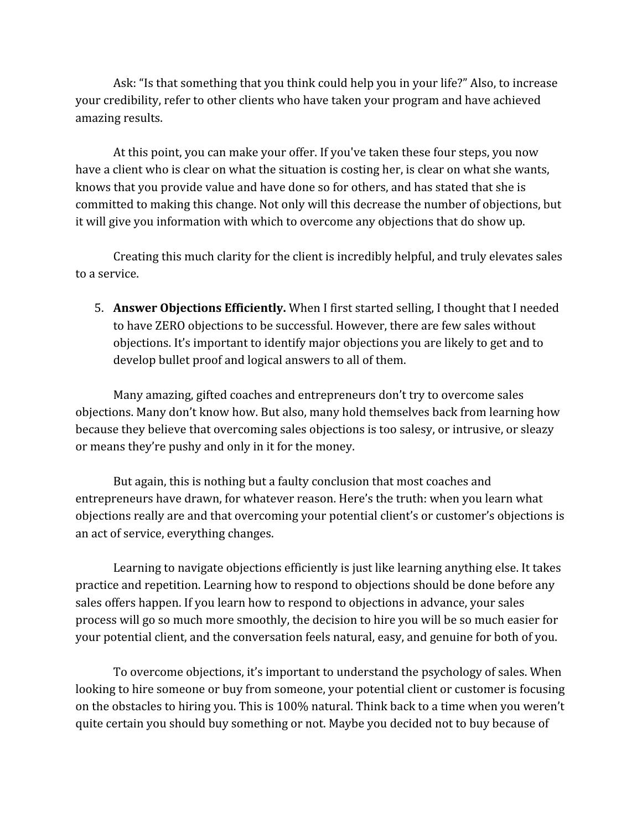Ask: "Is that something that you think could help you in your life?" Also, to increase your credibility, refer to other clients who have taken your program and have achieved amazing results.

At this point, you can make your offer. If you've taken these four steps, you now have a client who is clear on what the situation is costing her, is clear on what she wants, knows that you provide value and have done so for others, and has stated that she is committed to making this change. Not only will this decrease the number of objections, but it will give you information with which to overcome any objections that do show up.

Creating this much clarity for the client is incredibly helpful, and truly elevates sales to a service.

5. **Answer Objections Efficiently.** When I first started selling, I thought that I needed to have ZERO objections to be successful. However, there are few sales without objections. It's important to identify major objections you are likely to get and to develop bullet proof and logical answers to all of them.

Many amazing, gifted coaches and entrepreneurs don't try to overcome sales objections. Many don't know how. But also, many hold themselves back from learning how because they believe that overcoming sales objections is too salesy, or intrusive, or sleazy or means they're pushy and only in it for the money.

But again, this is nothing but a faulty conclusion that most coaches and entrepreneurs have drawn, for whatever reason. Here's the truth: when you learn what objections really are and that overcoming your potential client's or customer's objections is an act of service, everything changes.

Learning to navigate objections efficiently is just like learning anything else. It takes practice and repetition. Learning how to respond to objections should be done before any sales offers happen. If you learn how to respond to objections in advance, your sales process will go so much more smoothly, the decision to hire you will be so much easier for your potential client, and the conversation feels natural, easy, and genuine for both of you.

To overcome objections, it's important to understand the psychology of sales. When looking to hire someone or buy from someone, your potential client or customer is focusing on the obstacles to hiring you. This is 100% natural. Think back to a time when you weren't quite certain you should buy something or not. Maybe you decided not to buy because of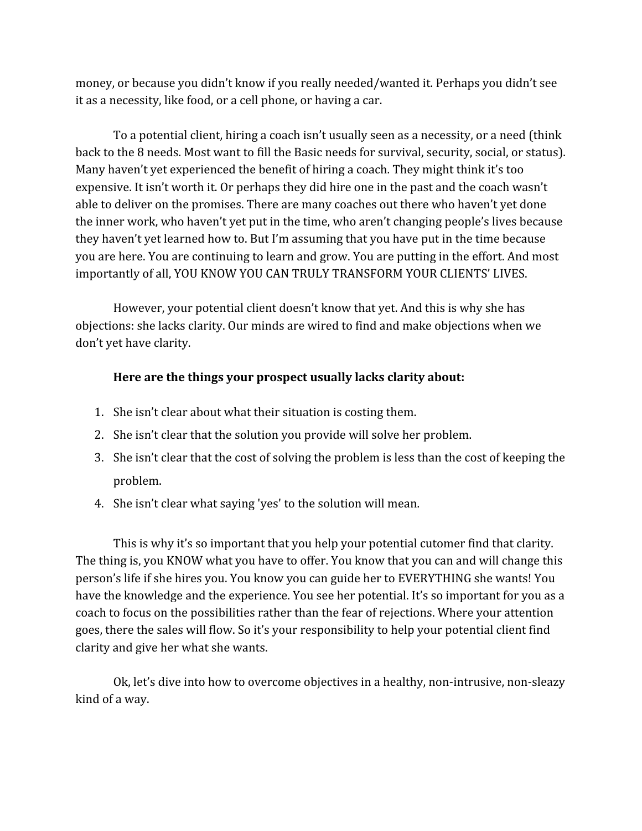money, or because you didn't know if you really needed/wanted it. Perhaps you didn't see it as a necessity, like food, or a cell phone, or having a car.

To a potential client, hiring a coach isn't usually seen as a necessity, or a need (think back to the 8 needs. Most want to fill the Basic needs for survival, security, social, or status). Many haven't yet experienced the benefit of hiring a coach. They might think it's too expensive. It isn't worth it. Or perhaps they did hire one in the past and the coach wasn't able to deliver on the promises. There are many coaches out there who haven't yet done the inner work, who haven't yet put in the time, who aren't changing people's lives because they haven't yet learned how to. But I'm assuming that you have put in the time because you are here. You are continuing to learn and grow. You are putting in the effort. And most importantly of all, YOU KNOW YOU CAN TRULY TRANSFORM YOUR CLIENTS' LIVES.

However, your potential client doesn't know that yet. And this is why she has objections: she lacks clarity. Our minds are wired to find and make objections when we don't yet have clarity.

#### **Here are the things your prospect usually lacks clarity about:**

- 1. She isn't clear about what their situation is costing them.
- 2. She isn't clear that the solution you provide will solve her problem.
- 3. She isn't clear that the cost of solving the problem is less than the cost of keeping the problem.
- 4. She isn't clear what saying 'yes' to the solution will mean.

This is why it's so important that you help your potential cutomer find that clarity. The thing is, you KNOW what you have to offer. You know that you can and will change this person's life if she hires you. You know you can guide her to EVERYTHING she wants! You have the knowledge and the experience. You see her potential. It's so important for you as a coach to focus on the possibilities rather than the fear of rejections. Where your attention goes, there the sales will flow. So it's your responsibility to help your potential client find clarity and give her what she wants.

Ok, let's dive into how to overcome objectives in a healthy, non-intrusive, non-sleazy kind of a way.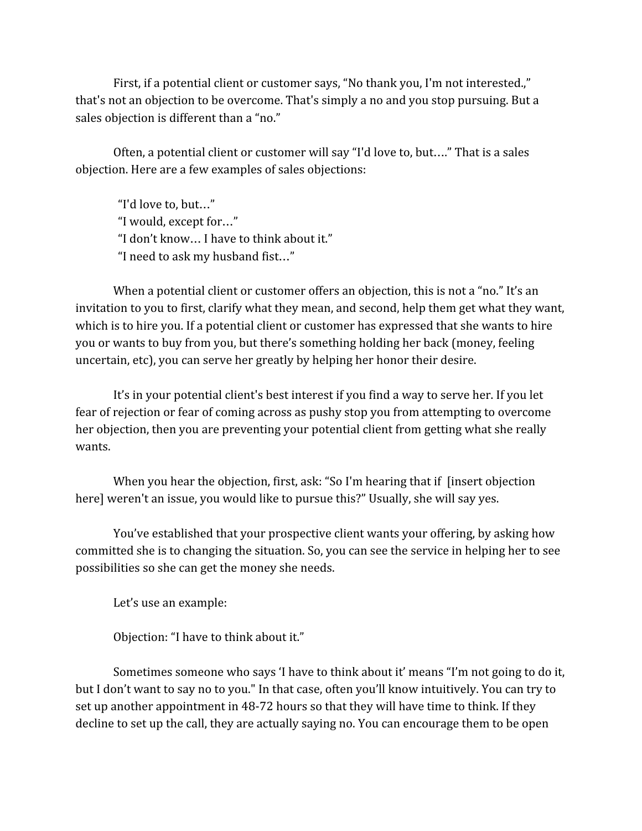First, if a potential client or customer says, "No thank you, I'm not interested.," that's not an objection to be overcome. That's simply a no and you stop pursuing. But a sales objection is different than a "no."

Often, a potential client or customer will say "I'd love to, but…." That is a sales objection. Here are a few examples of sales objections:

"I'd love to, but…" "I would, except for…" "I don't know… I have to think about it." "I need to ask my husband fist…"

When a potential client or customer offers an objection, this is not a "no." It's an invitation to you to first, clarify what they mean, and second, help them get what they want, which is to hire you. If a potential client or customer has expressed that she wants to hire you or wants to buy from you, but there's something holding her back (money, feeling uncertain, etc), you can serve her greatly by helping her honor their desire.

It's in your potential client's best interest if you find a way to serve her. If you let fear of rejection or fear of coming across as pushy stop you from attempting to overcome her objection, then you are preventing your potential client from getting what she really wants.

When you hear the objection, first, ask: "So I'm hearing that if [insert objection] here] weren't an issue, you would like to pursue this?" Usually, she will say yes.

You've established that your prospective client wants your offering, by asking how committed she is to changing the situation. So, you can see the service in helping her to see possibilities so she can get the money she needs.

Let's use an example:

Objection: "I have to think about it."

Sometimes someone who says 'I have to think about it' means "I'm not going to do it, but I don't want to say no to you." In that case, often you'll know intuitively. You can try to set up another appointment in 48-72 hours so that they will have time to think. If they decline to set up the call, they are actually saying no. You can encourage them to be open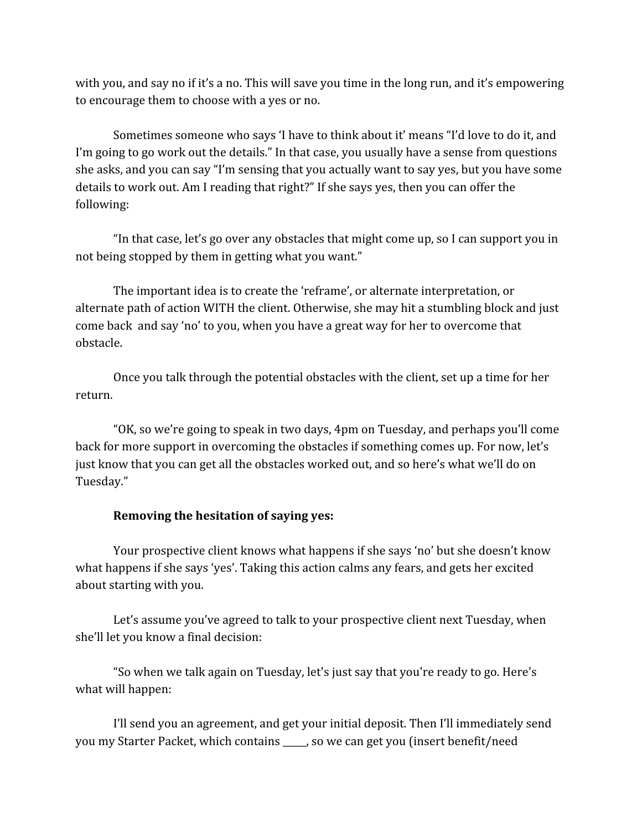with you, and say no if it's a no. This will save you time in the long run, and it's empowering to encourage them to choose with a yes or no.

Sometimes someone who says 'I have to think about it' means "I'd love to do it, and I'm going to go work out the details." In that case, you usually have a sense from questions she asks, and you can say "I'm sensing that you actually want to say yes, but you have some details to work out. Am I reading that right?" If she says yes, then you can offer the following:

"In that case, let's go over any obstacles that might come up, so I can support you in not being stopped by them in getting what you want."

The important idea is to create the 'reframe', or alternate interpretation, or alternate path of action WITH the client. Otherwise, she may hit a stumbling block and just come back and say 'no' to you, when you have a great way for her to overcome that obstacle.

Once you talk through the potential obstacles with the client, set up a time for her return.

"OK, so we're going to speak in two days, 4pm on Tuesday, and perhaps you'll come back for more support in overcoming the obstacles if something comes up. For now, let's just know that you can get all the obstacles worked out, and so here's what we'll do on Tuesday."

#### **Removing the hesitation of saying yes:**

Your prospective client knows what happens if she says 'no' but she doesn't know what happens if she says 'yes'. Taking this action calms any fears, and gets her excited about starting with you.

Let's assume you've agreed to talk to your prospective client next Tuesday, when she'll let you know a final decision:

"So when we talk again on Tuesday, let's just say that you're ready to go. Here's what will happen:

I'll send you an agreement, and get your initial deposit. Then I'll immediately send you my Starter Packet, which contains \_\_\_\_\_, so we can get you (insert benefit/need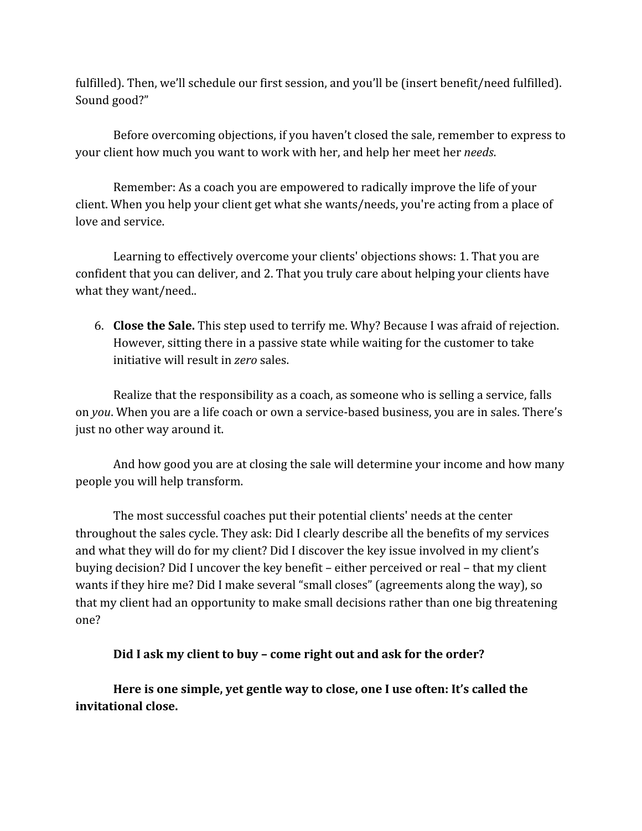fulfilled). Then, we'll schedule our first session, and you'll be (insert benefit/need fulfilled). Sound good?"

Before overcoming objections, if you haven't closed the sale, remember to express to your client how much you want to work with her, and help her meet her *needs*.

Remember: As a coach you are empowered to radically improve the life of your client. When you help your client get what she wants/needs, you're acting from a place of love and service.

Learning to effectively overcome your clients' objections shows: 1. That you are confident that you can deliver, and 2. That you truly care about helping your clients have what they want/need..

6. **Close the Sale.** This step used to terrify me. Why? Because I was afraid of rejection. However, sitting there in a passive state while waiting for the customer to take initiative will result in *zero* sales.

Realize that the responsibility as a coach, as someone who is selling a service, falls on *you*. When you are a life coach or own a service-based business, you are in sales. There's just no other way around it.

And how good you are at closing the sale will determine your income and how many people you will help transform.

The most successful coaches put their potential clients' needs at the center throughout the sales cycle. They ask: Did I clearly describe all the benefits of my services and what they will do for my client? Did I discover the key issue involved in my client's buying decision? Did I uncover the key benefit – either perceived or real – that my client wants if they hire me? Did I make several "small closes" (agreements along the way), so that my client had an opportunity to make small decisions rather than one big threatening one?

#### **Did I ask my client to buy – come right out and ask for the order?**

**Here is one simple, yet gentle way to close, one I use often: It's called the invitational close.**